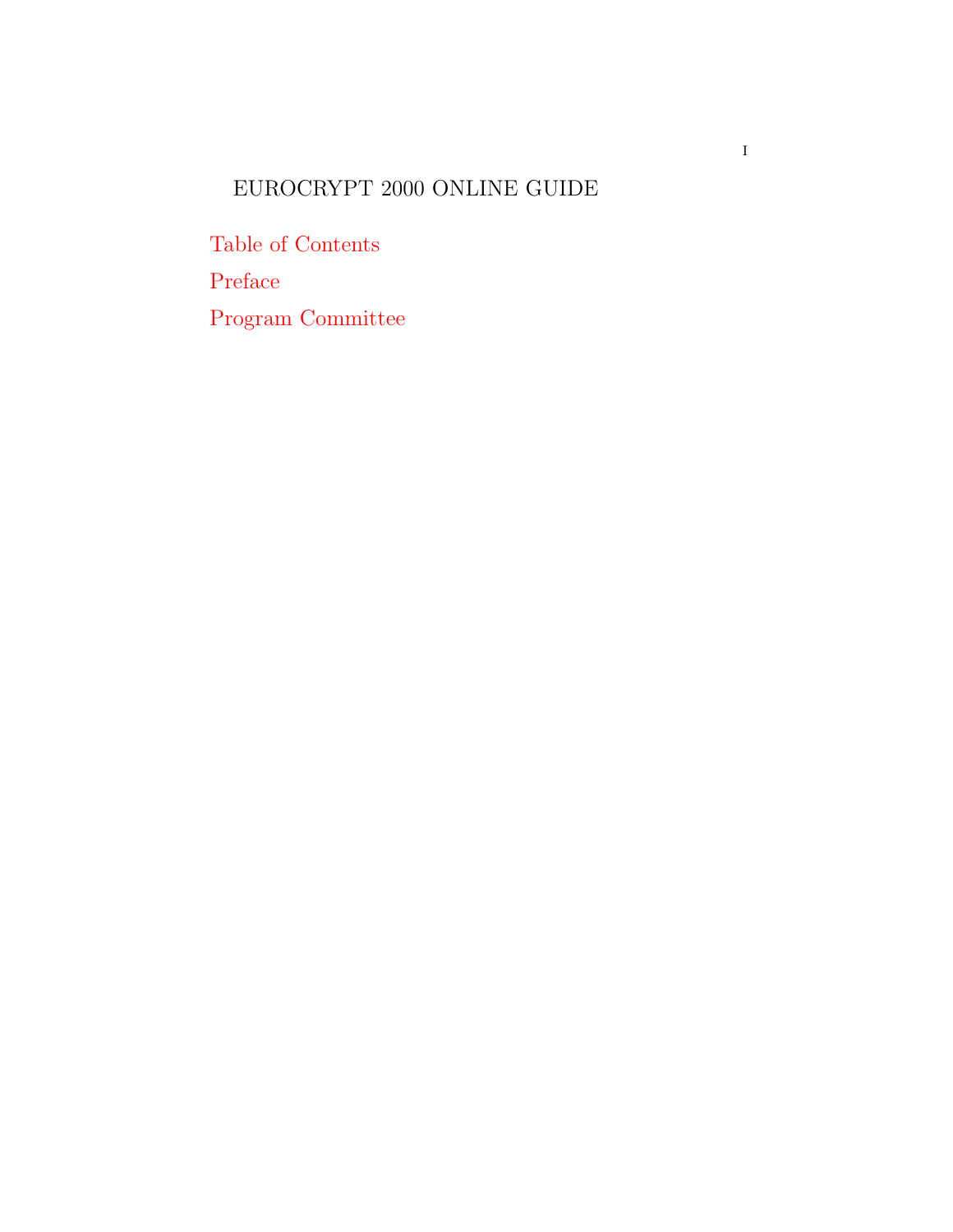# EUROCRYPT 2000 ONLINE GUIDE

[Table of Contents](#page-4-0) [Preface](#page-1-0) [Program Committee](#page-4-0)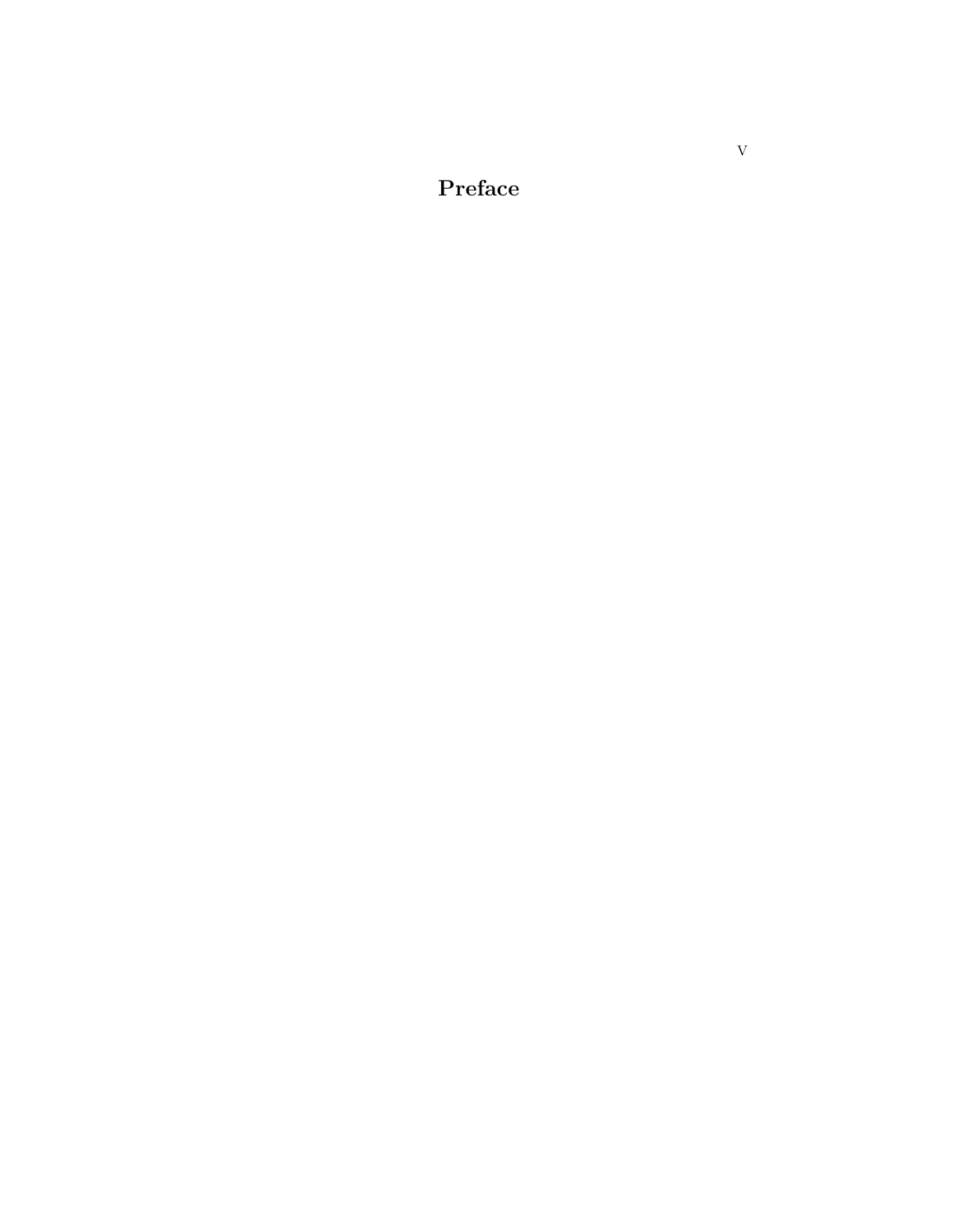<span id="page-1-0"></span>Preface

V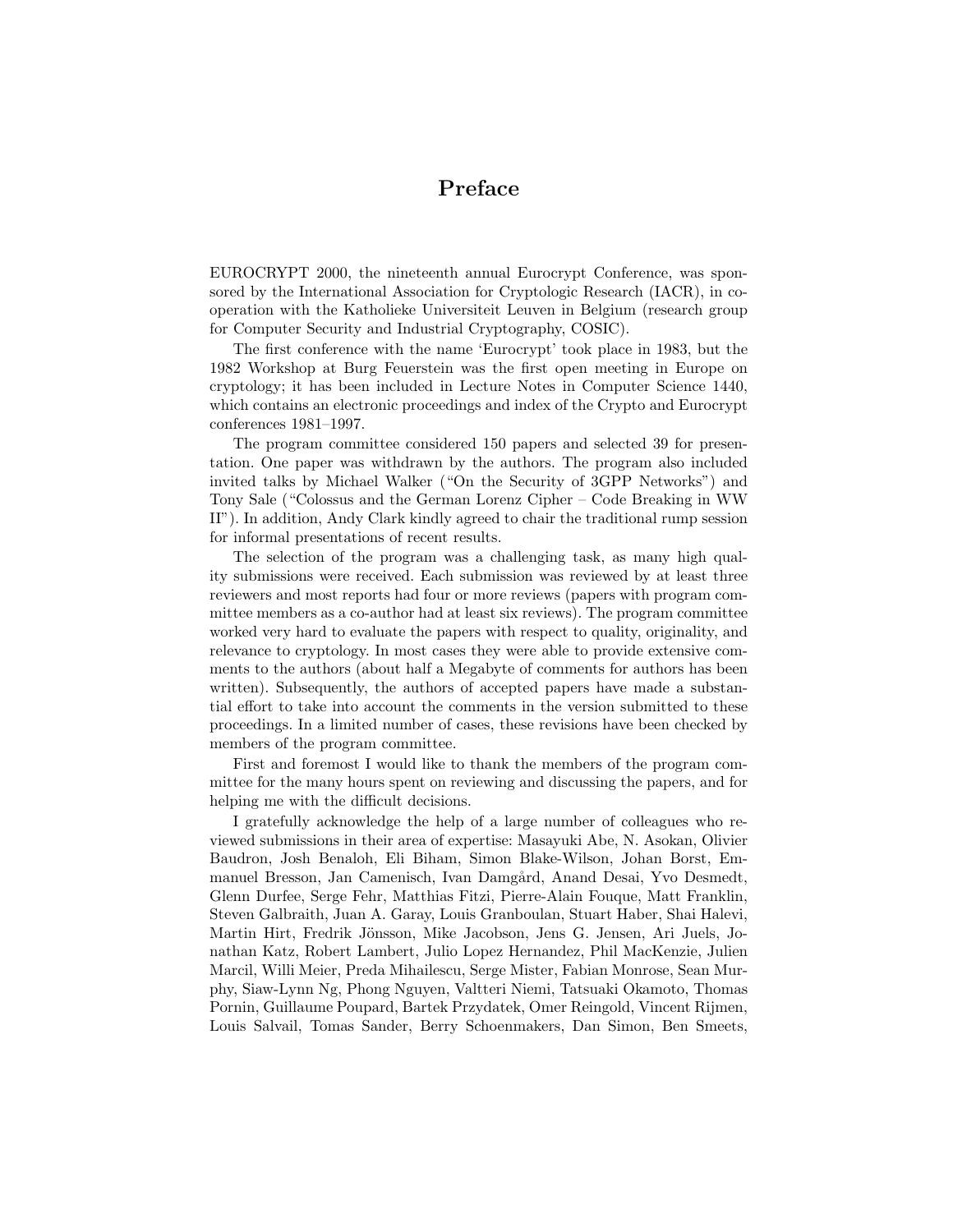#### Preface

EUROCRYPT 2000, the nineteenth annual Eurocrypt Conference, was sponsored by the International Association for Cryptologic Research (IACR), in cooperation with the Katholieke Universiteit Leuven in Belgium (research group for Computer Security and Industrial Cryptography, COSIC).

The first conference with the name 'Eurocrypt' took place in 1983, but the 1982 Workshop at Burg Feuerstein was the first open meeting in Europe on cryptology; it has been included in Lecture Notes in Computer Science 1440, which contains an electronic proceedings and index of the Crypto and Eurocrypt conferences 1981–1997.

The program committee considered 150 papers and selected 39 for presentation. One paper was withdrawn by the authors. The program also included invited talks by Michael Walker ("On the Security of 3GPP Networks") and Tony Sale ("Colossus and the German Lorenz Cipher – Code Breaking in WW II"). In addition, Andy Clark kindly agreed to chair the traditional rump session for informal presentations of recent results.

The selection of the program was a challenging task, as many high quality submissions were received. Each submission was reviewed by at least three reviewers and most reports had four or more reviews (papers with program committee members as a co-author had at least six reviews). The program committee worked very hard to evaluate the papers with respect to quality, originality, and relevance to cryptology. In most cases they were able to provide extensive comments to the authors (about half a Megabyte of comments for authors has been written). Subsequently, the authors of accepted papers have made a substantial effort to take into account the comments in the version submitted to these proceedings. In a limited number of cases, these revisions have been checked by members of the program committee.

First and foremost I would like to thank the members of the program committee for the many hours spent on reviewing and discussing the papers, and for helping me with the difficult decisions.

I gratefully acknowledge the help of a large number of colleagues who reviewed submissions in their area of expertise: Masayuki Abe, N. Asokan, Olivier Baudron, Josh Benaloh, Eli Biham, Simon Blake-Wilson, Johan Borst, Emmanuel Bresson, Jan Camenisch, Ivan Damgård, Anand Desai, Yvo Desmedt, Glenn Durfee, Serge Fehr, Matthias Fitzi, Pierre-Alain Fouque, Matt Franklin, Steven Galbraith, Juan A. Garay, Louis Granboulan, Stuart Haber, Shai Halevi, Martin Hirt, Fredrik Jönsson, Mike Jacobson, Jens G. Jensen, Ari Juels, Jonathan Katz, Robert Lambert, Julio Lopez Hernandez, Phil MacKenzie, Julien Marcil, Willi Meier, Preda Mihailescu, Serge Mister, Fabian Monrose, Sean Murphy, Siaw-Lynn Ng, Phong Nguyen, Valtteri Niemi, Tatsuaki Okamoto, Thomas Pornin, Guillaume Poupard, Bartek Przydatek, Omer Reingold, Vincent Rijmen, Louis Salvail, Tomas Sander, Berry Schoenmakers, Dan Simon, Ben Smeets,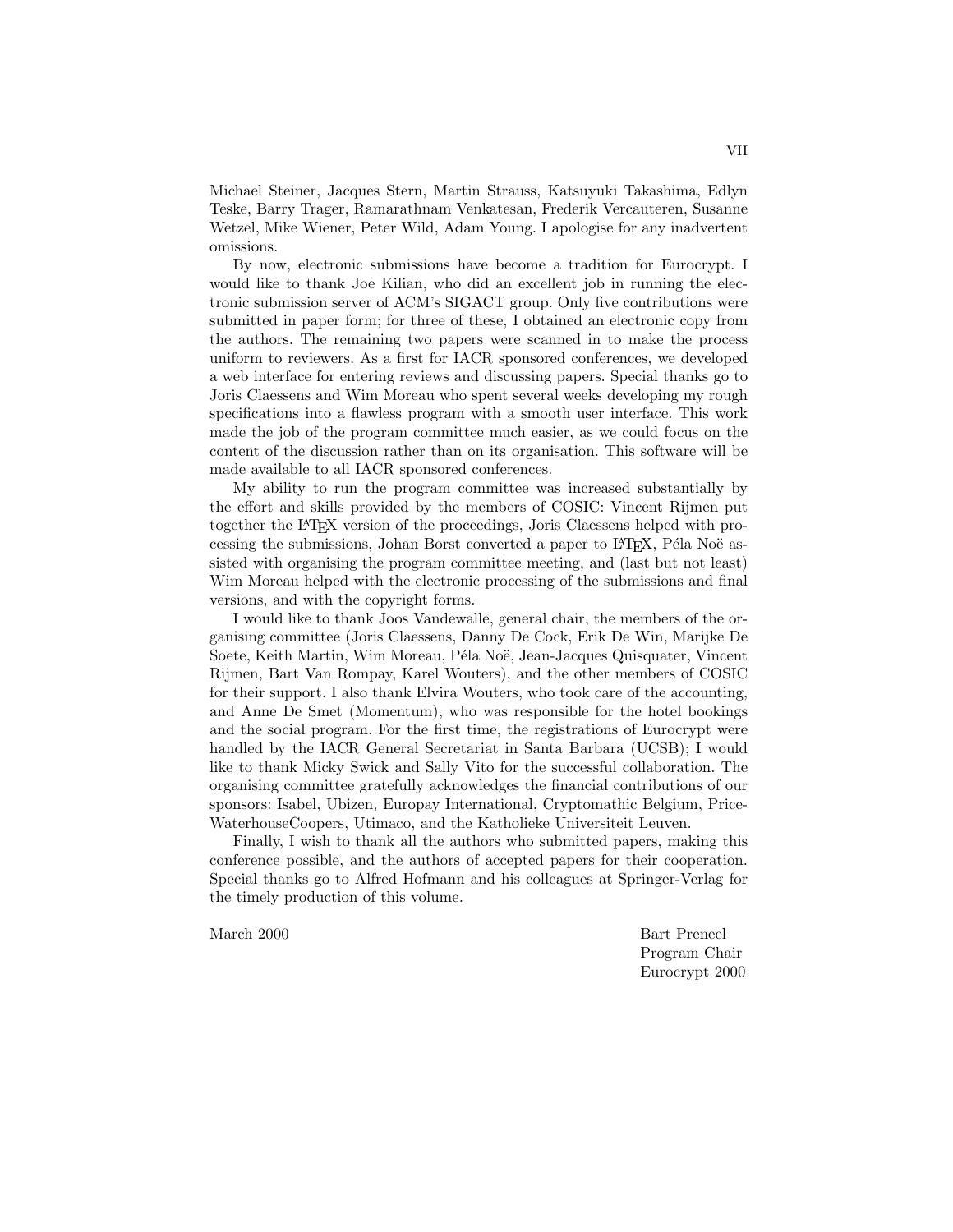Michael Steiner, Jacques Stern, Martin Strauss, Katsuyuki Takashima, Edlyn Teske, Barry Trager, Ramarathnam Venkatesan, Frederik Vercauteren, Susanne Wetzel, Mike Wiener, Peter Wild, Adam Young. I apologise for any inadvertent omissions.

By now, electronic submissions have become a tradition for Eurocrypt. I would like to thank Joe Kilian, who did an excellent job in running the electronic submission server of ACM's SIGACT group. Only five contributions were submitted in paper form; for three of these, I obtained an electronic copy from the authors. The remaining two papers were scanned in to make the process uniform to reviewers. As a first for IACR sponsored conferences, we developed a web interface for entering reviews and discussing papers. Special thanks go to Joris Claessens and Wim Moreau who spent several weeks developing my rough specifications into a flawless program with a smooth user interface. This work made the job of the program committee much easier, as we could focus on the content of the discussion rather than on its organisation. This software will be made available to all IACR sponsored conferences.

My ability to run the program committee was increased substantially by the effort and skills provided by the members of COSIC: Vincent Rijmen put together the LATEX version of the proceedings, Joris Claessens helped with processing the submissions, Johan Borst converted a paper to  $L^2T_FX$ , Péla Noë assisted with organising the program committee meeting, and (last but not least) Wim Moreau helped with the electronic processing of the submissions and final versions, and with the copyright forms.

I would like to thank Joos Vandewalle, general chair, the members of the organising committee (Joris Claessens, Danny De Cock, Erik De Win, Marijke De Soete, Keith Martin, Wim Moreau, Péla Noë, Jean-Jacques Quisquater, Vincent Rijmen, Bart Van Rompay, Karel Wouters), and the other members of COSIC for their support. I also thank Elvira Wouters, who took care of the accounting, and Anne De Smet (Momentum), who was responsible for the hotel bookings and the social program. For the first time, the registrations of Eurocrypt were handled by the IACR General Secretariat in Santa Barbara (UCSB); I would like to thank Micky Swick and Sally Vito for the successful collaboration. The organising committee gratefully acknowledges the financial contributions of our sponsors: Isabel, Ubizen, Europay International, Cryptomathic Belgium, Price-WaterhouseCoopers, Utimaco, and the Katholieke Universiteit Leuven.

Finally, I wish to thank all the authors who submitted papers, making this conference possible, and the authors of accepted papers for their cooperation. Special thanks go to Alfred Hofmann and his colleagues at Springer-Verlag for the timely production of this volume.

March 2000 Bart Preneel Program Chair Eurocrypt 2000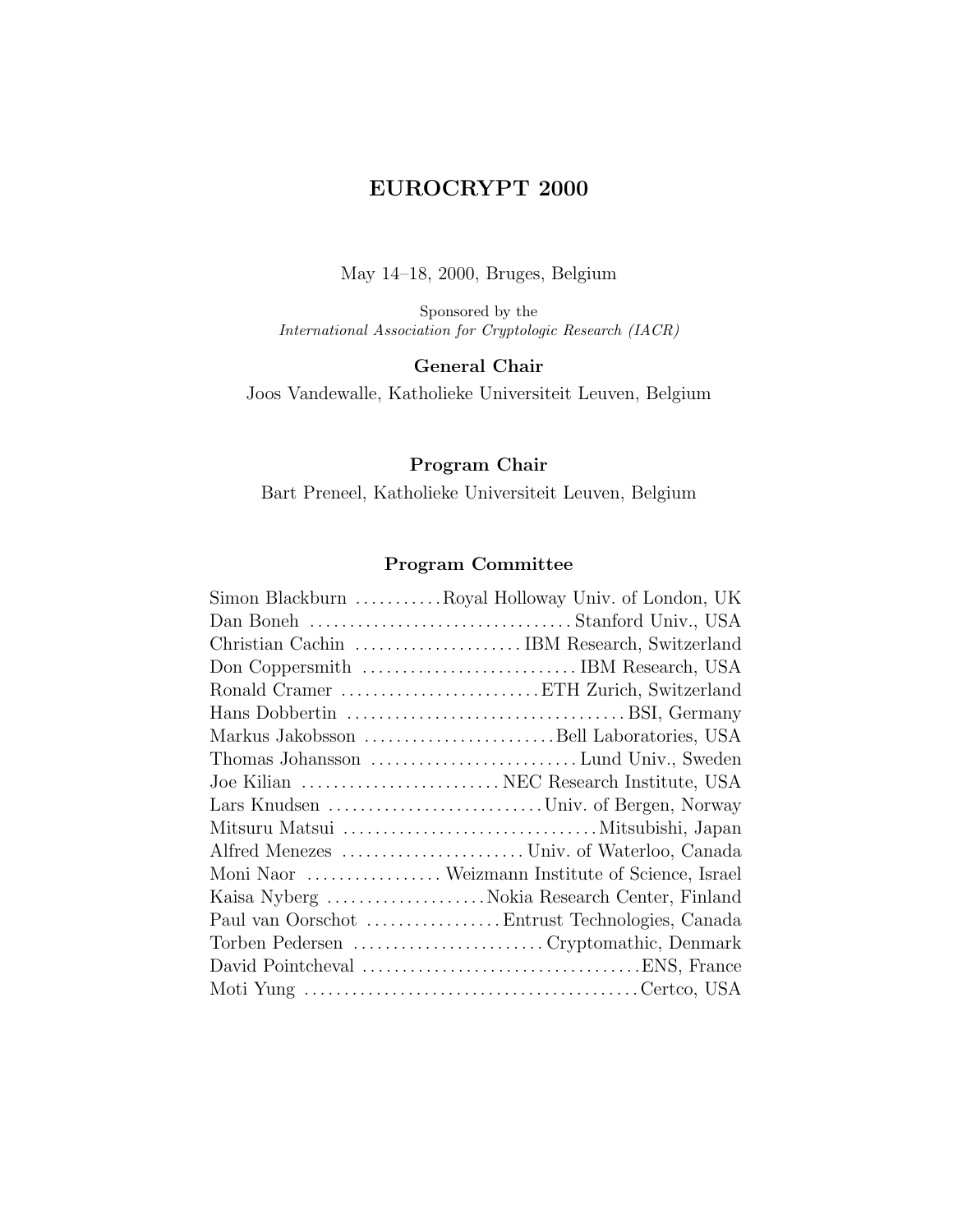#### EUROCRYPT 2000

May 14–18, 2000, Bruges, Belgium

<span id="page-4-0"></span>Sponsored by the International Association for Cryptologic Research (IACR)

#### General Chair

Joos Vandewalle, Katholieke Universiteit Leuven, Belgium

#### Program Chair

Bart Preneel, Katholieke Universiteit Leuven, Belgium

#### Program Committee

| Simon Blackburn Royal Holloway Univ. of London, UK |
|----------------------------------------------------|
|                                                    |
|                                                    |
|                                                    |
|                                                    |
|                                                    |
| Markus Jakobsson Bell Laboratories, USA            |
| Thomas Johansson  Lund Univ., Sweden               |
|                                                    |
|                                                    |
|                                                    |
|                                                    |
| Moni Naor  Weizmann Institute of Science, Israel   |
|                                                    |
|                                                    |
|                                                    |
|                                                    |
|                                                    |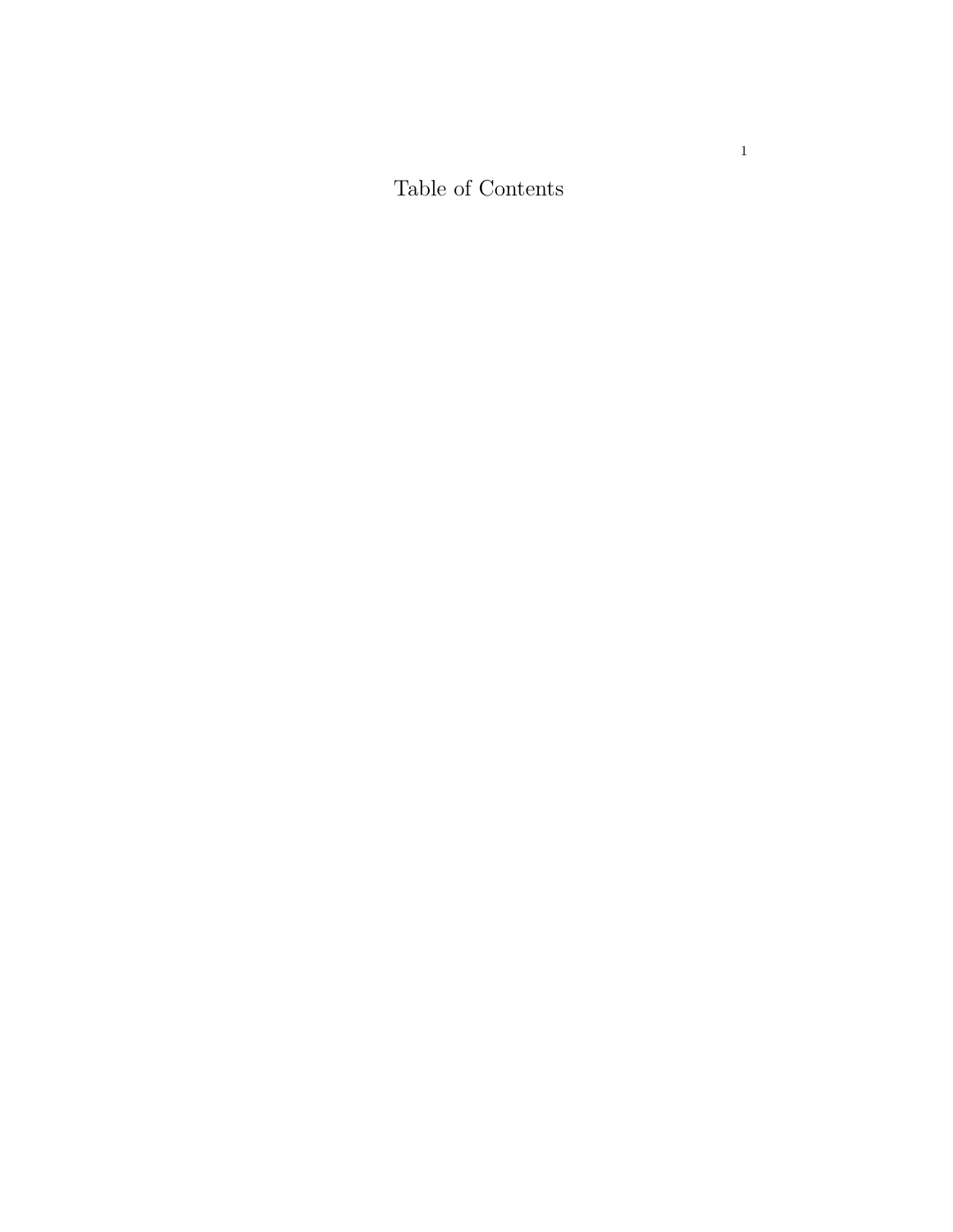Table of Contents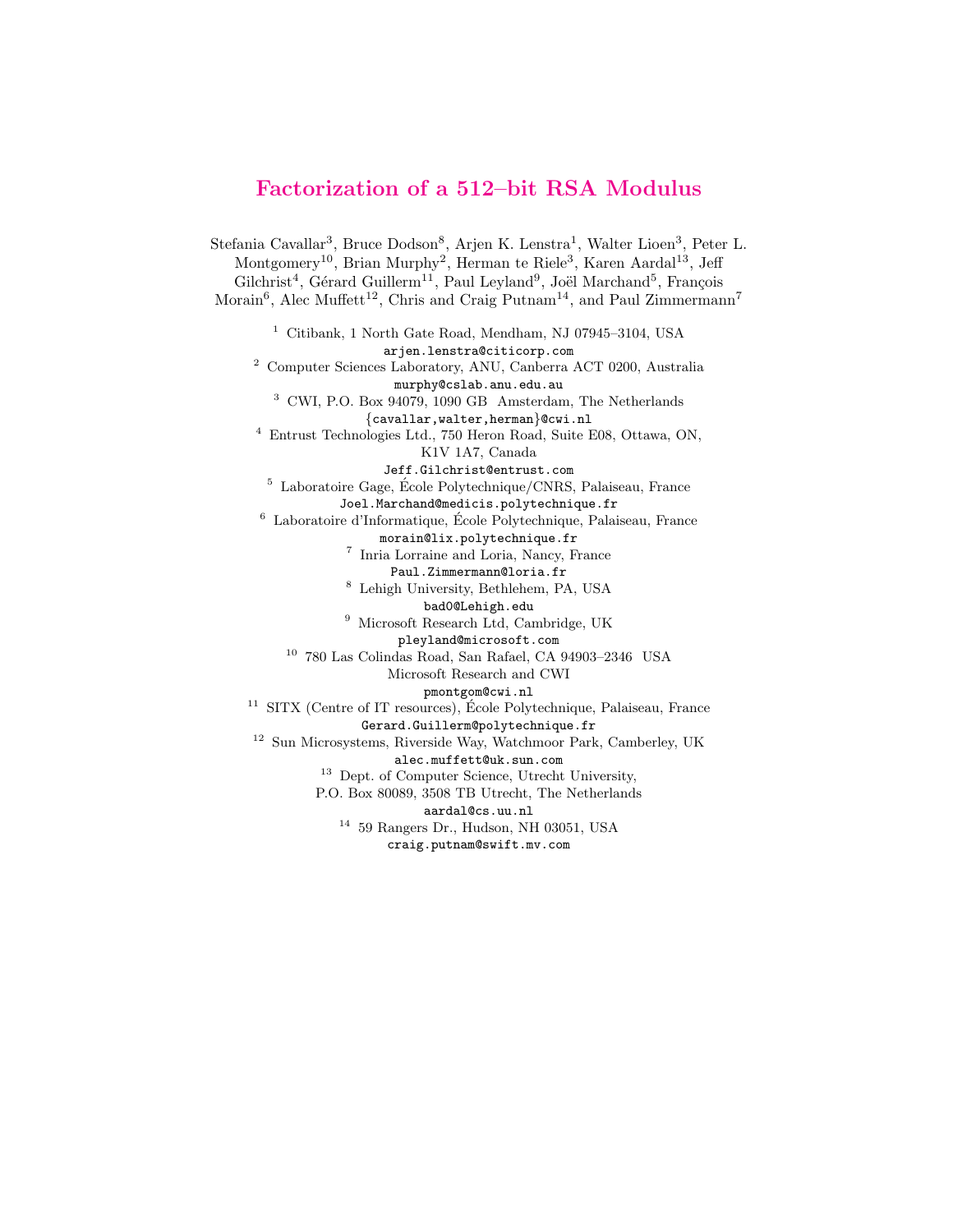#### [Factorization of a 512–bit RSA Modulus](http://www.iacr.org/archive/eurocrypt2000/1807/18070001-new.pdf)

Stefania Cavallar<sup>3</sup>, Bruce Dodson<sup>8</sup>, Arjen K. Lenstra<sup>1</sup>, Walter Lioen<sup>3</sup>, Peter L. Montgomery<sup>10</sup>, Brian Murphy<sup>2</sup>, Herman te Riele<sup>3</sup>, Karen Aardal<sup>13</sup>, Jeff  $Gilchrist<sup>4</sup>$ , Gérard Guillerm<sup>11</sup>, Paul Leyland<sup>9</sup>, Joël Marchand<sup>5</sup>, François Morain<sup>6</sup>, Alec Muffett<sup>12</sup>, Chris and Craig Putnam<sup>14</sup>, and Paul Zimmermann<sup>7</sup> <sup>1</sup> Citibank, 1 North Gate Road, Mendham, NJ 07945–3104, USA arjen.lenstra@citicorp.com  $^{\rm 2}$  Computer Sciences Laboratory, ANU, Canberra ACT 0200, Australia murphy@cslab.anu.edu.au <sup>3</sup> CWI, P.O. Box 94079, 1090 GB Amsterdam, The Netherlands {cavallar,walter,herman}@cwi.nl <sup>4</sup> Entrust Technologies Ltd., 750 Heron Road, Suite E08, Ottawa, ON, K1V 1A7, Canada Jeff.Gilchrist@entrust.com <sup>5</sup> Laboratoire Gage, École Polytechnique/CNRS, Palaiseau, France Joel.Marchand@medicis.polytechnique.fr  $6$  Laboratoire d'Informatique, École Polytechnique, Palaiseau, France morain@lix.polytechnique.fr 7 Inria Lorraine and Loria, Nancy, France Paul.Zimmermann@loria.fr <sup>8</sup> Lehigh University, Bethlehem, PA, USA bad0@Lehigh.edu <sup>9</sup> Microsoft Research Ltd, Cambridge, UK pleyland@microsoft.com <sup>10</sup> 780 Las Colindas Road, San Rafael, CA 94903–2346 USA Microsoft Research and CWI pmontgom@cwi.nl  $^{11}$  SITX (Centre of IT resources), École Polytechnique, Palaiseau, France Gerard.Guillerm@polytechnique.fr <sup>12</sup> Sun Microsystems, Riverside Way, Watchmoor Park, Camberley, UK alec.muffett@uk.sun.com <sup>13</sup> Dept. of Computer Science, Utrecht University, P.O. Box 80089, 3508 TB Utrecht, The Netherlands aardal@cs.uu.nl <sup>14</sup> 59 Rangers Dr., Hudson, NH 03051, USA craig.putnam@swift.mv.com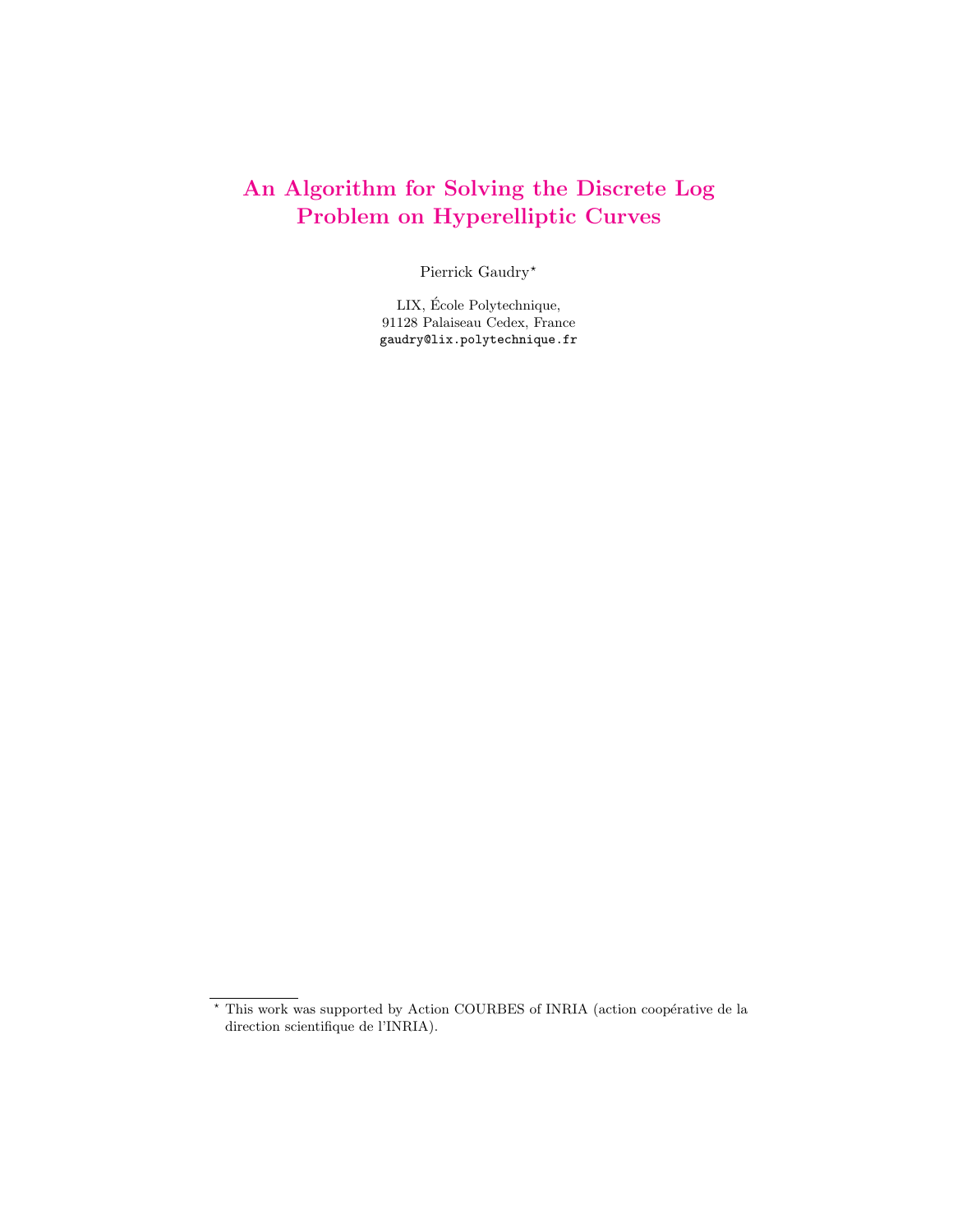## [An Algorithm for Solving the Discrete Log](http://www.iacr.org/archive/eurocrypt2000/1807/18070019-new.pdf) [Problem on Hyperelliptic Curves](http://www.iacr.org/archive/eurocrypt2000/1807/18070019-new.pdf)

Pierrick Gaudry $^\star$ 

LIX, Ecole Polytechnique, ´ 91128 Palaiseau Cedex, France gaudry@lix.polytechnique.fr

 $*$  This work was supported by Action COURBES of INRIA (action coopérative de la direction scientifique de l'INRIA).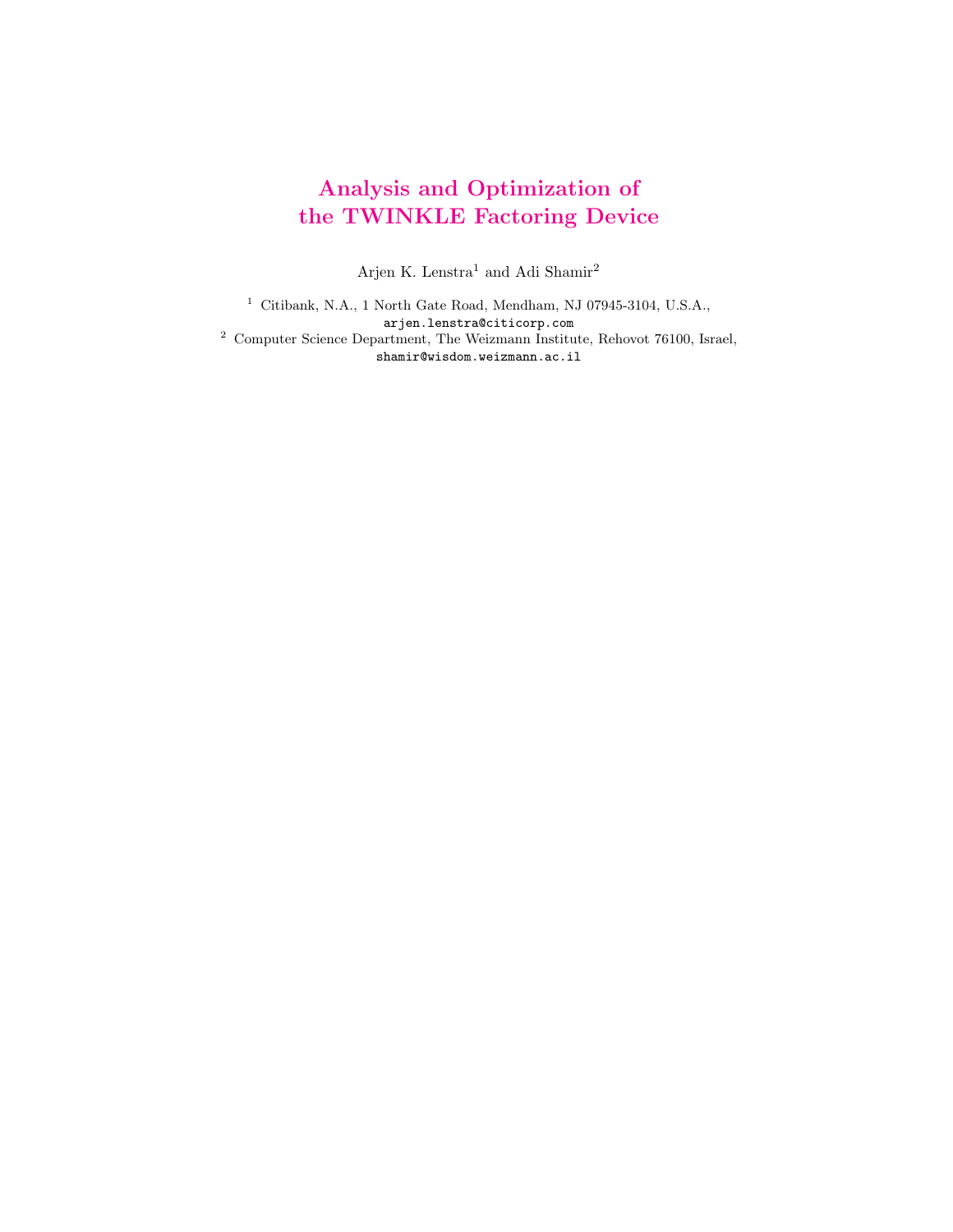# [Analysis and Optimization of](http://www.iacr.org/archive/eurocrypt2000/1807/18070035-new.pdf) [the TWINKLE Factoring Device](http://www.iacr.org/archive/eurocrypt2000/1807/18070035-new.pdf)

Arjen K. Lenstra<br/> $^1$ and Adi Shamir $^2$ 

 $^{\rm 1}$  Citibank, N.A., 1 North Gate Road, Mendham, NJ 07945-3104, U.S.A., arjen.lenstra@citicorp.com <sup>2</sup> Computer Science Department, The Weizmann Institute, Rehovot 76100, Israel, shamir@wisdom.weizmann.ac.il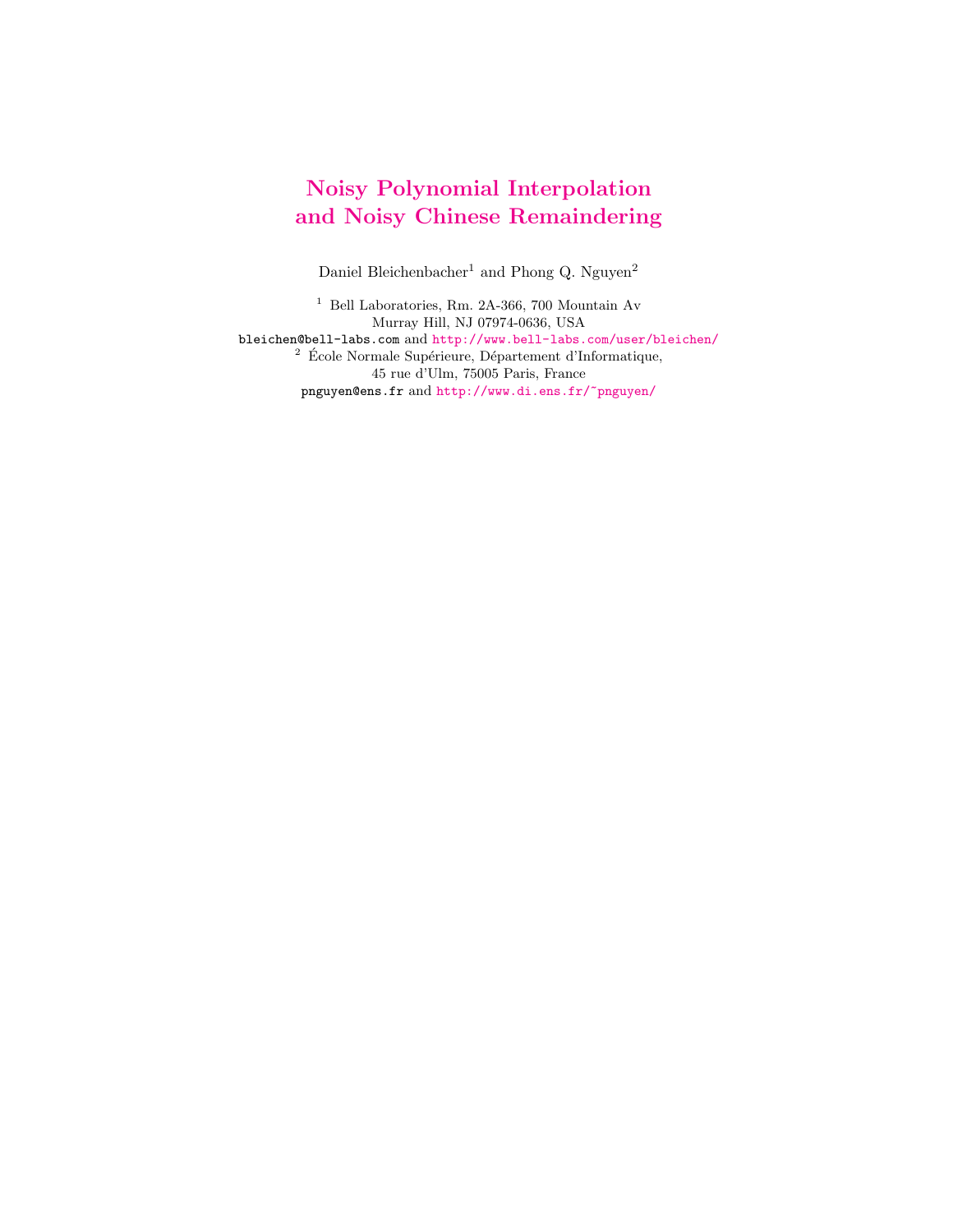#### [Noisy Polynomial Interpolation](http://www.iacr.org/archive/eurocrypt2000/1807/18070053-new.pdf) [and Noisy Chinese Remaindering](http://www.iacr.org/archive/eurocrypt2000/1807/18070053-new.pdf)

Daniel Bleichenbacher<sup>1</sup> and Phong Q. Nguyen<sup>2</sup>

 $^{\rm 1}$  Bell Laboratories, Rm. 2A-366, 700 Mountain Av Murray Hill, NJ 07974-0636, USA bleichen@bell-labs.com and <http://www.bell-labs.com/user/bleichen/>  $2 \text{ École Normale Supérieure}, \text{Département d'Informatique},$ 45 rue d'Ulm, 75005 Paris, France pnguyen@ens.fr and <http://www.di.ens.fr/~pnguyen/>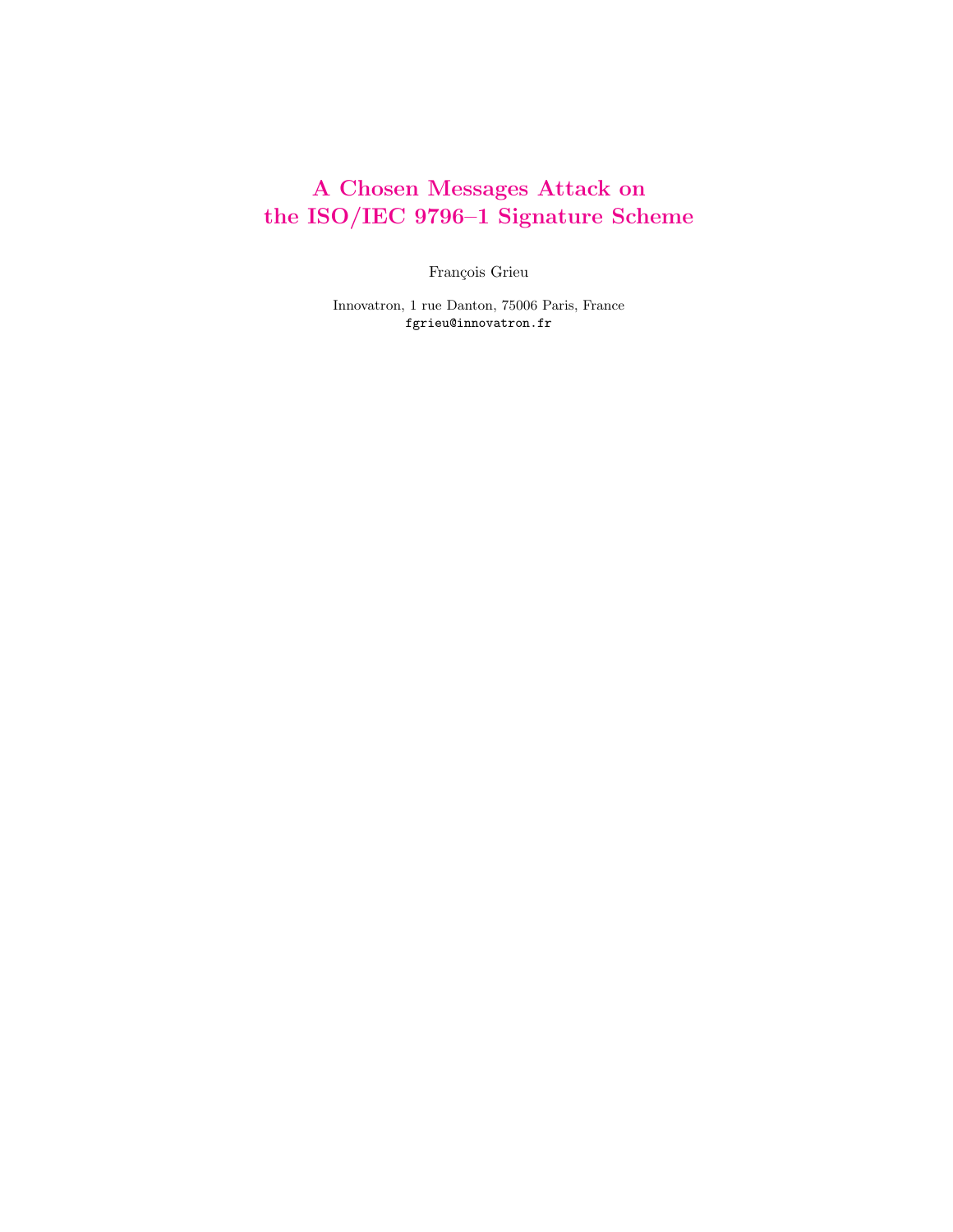# [A Chosen Messages Attack on](http://www.iacr.org/archive/eurocrypt2000/1807/18070070-new.pdf) [the ISO/IEC 9796–1 Signature Scheme](http://www.iacr.org/archive/eurocrypt2000/1807/18070070-new.pdf)

François Grieu

Innovatron, 1 rue Danton, 75006 Paris, France fgrieu@innovatron.fr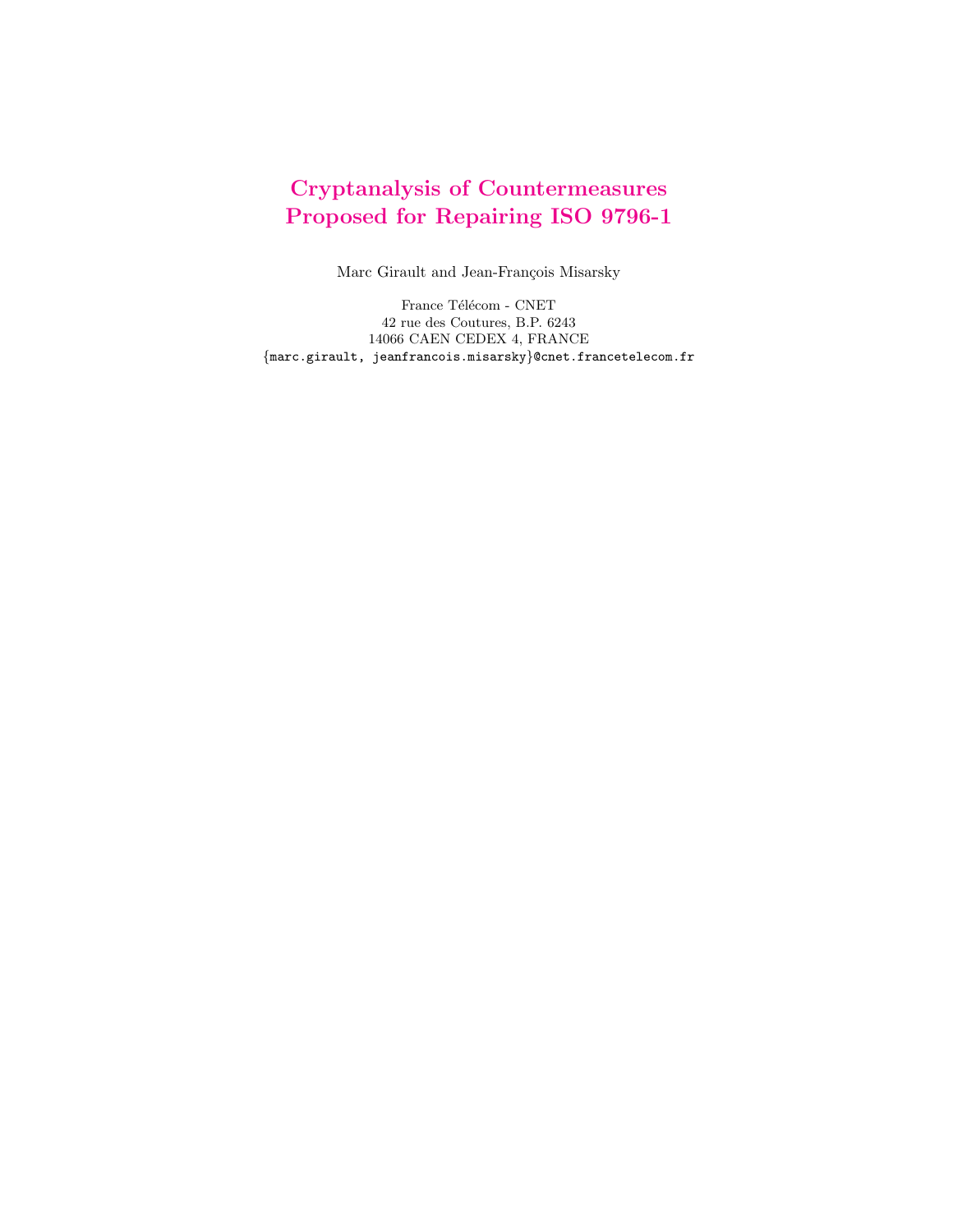# [Cryptanalysis of Countermeasures](http://www.iacr.org/archive/eurocrypt2000/1807/18070081-new.pdf) [Proposed for Repairing ISO 9796-1](http://www.iacr.org/archive/eurocrypt2000/1807/18070081-new.pdf)

Marc Girault and Jean-François Misarsky

France Télécom -  $\ensuremath{\mathrm{CNET}}$ 42 rue des Coutures, B.P. 6243 14066 CAEN CEDEX 4, FRANCE {marc.girault, jeanfrancois.misarsky}@cnet.francetelecom.fr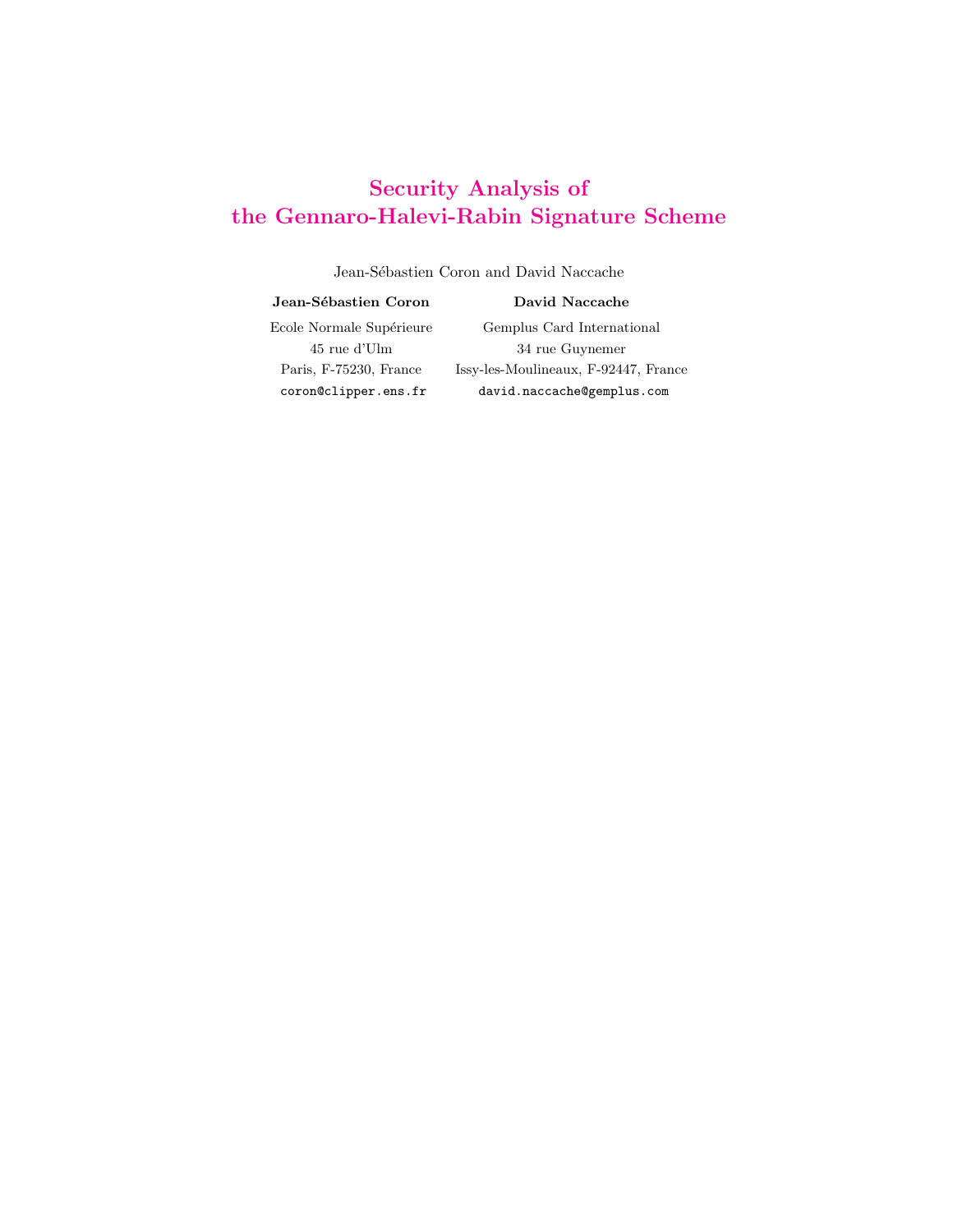# [Security Analysis of](http://www.iacr.org/archive/eurocrypt2000/1807/18070091-new.pdf) [the Gennaro-Halevi-Rabin Signature Scheme](http://www.iacr.org/archive/eurocrypt2000/1807/18070091-new.pdf)

Jean-Sébastien Coron and David Naccache

#### Jean-Sébastien Coron David Naccache

Ecole Normale Supérieure Gemplus Card International 45 rue d'Ulm 34 rue Guynemer Paris, F-75230, France Issy-les-Moulineaux, F-92447, France coron@clipper.ens.fr david.naccache@gemplus.com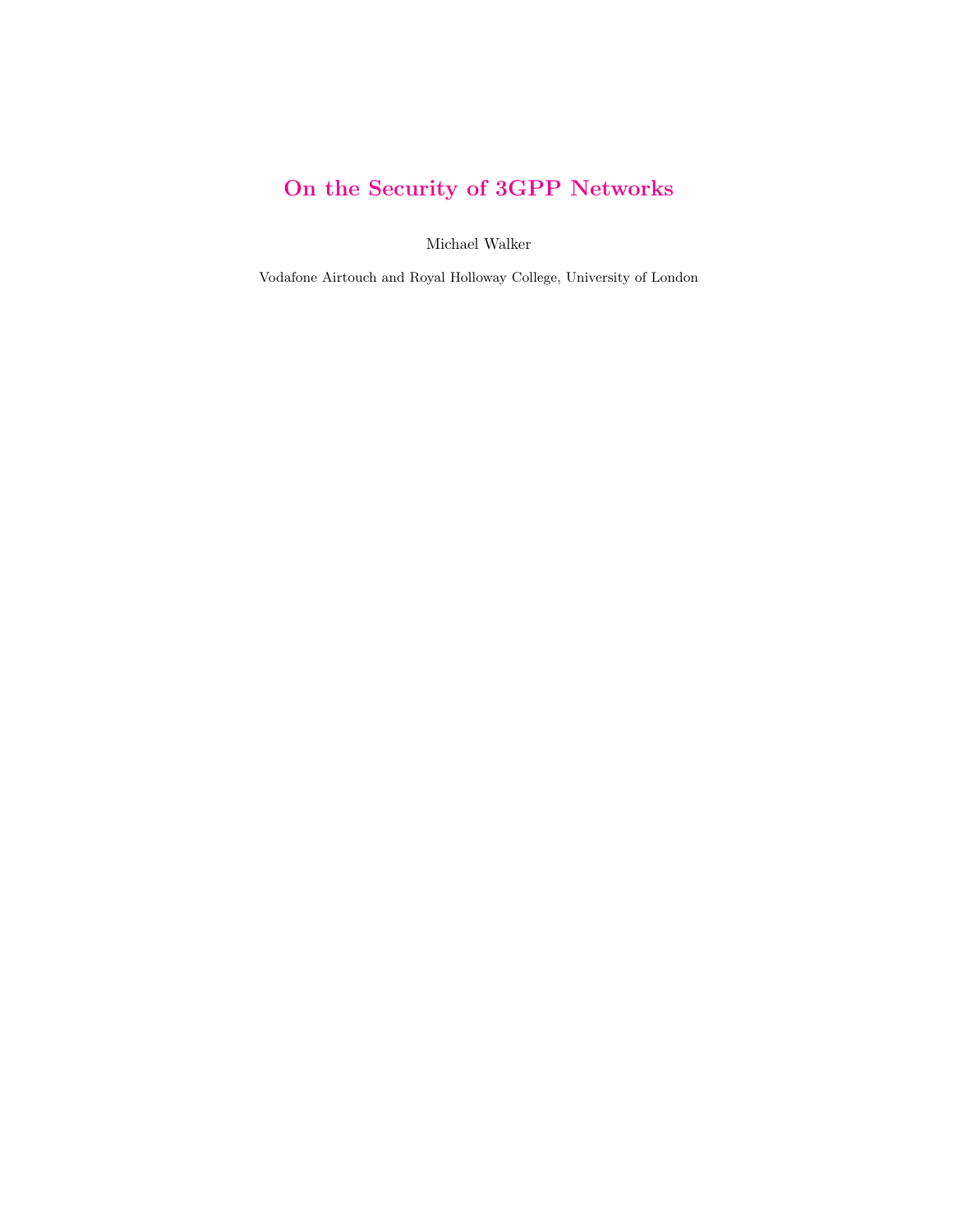# [On the Security of 3GPP Networks](http://www.iacr.org/archive/eurocrypt2000/1807/18070102-new.pdf)

Michael Walker

Vodafone Airtouch and Royal Holloway College, University of London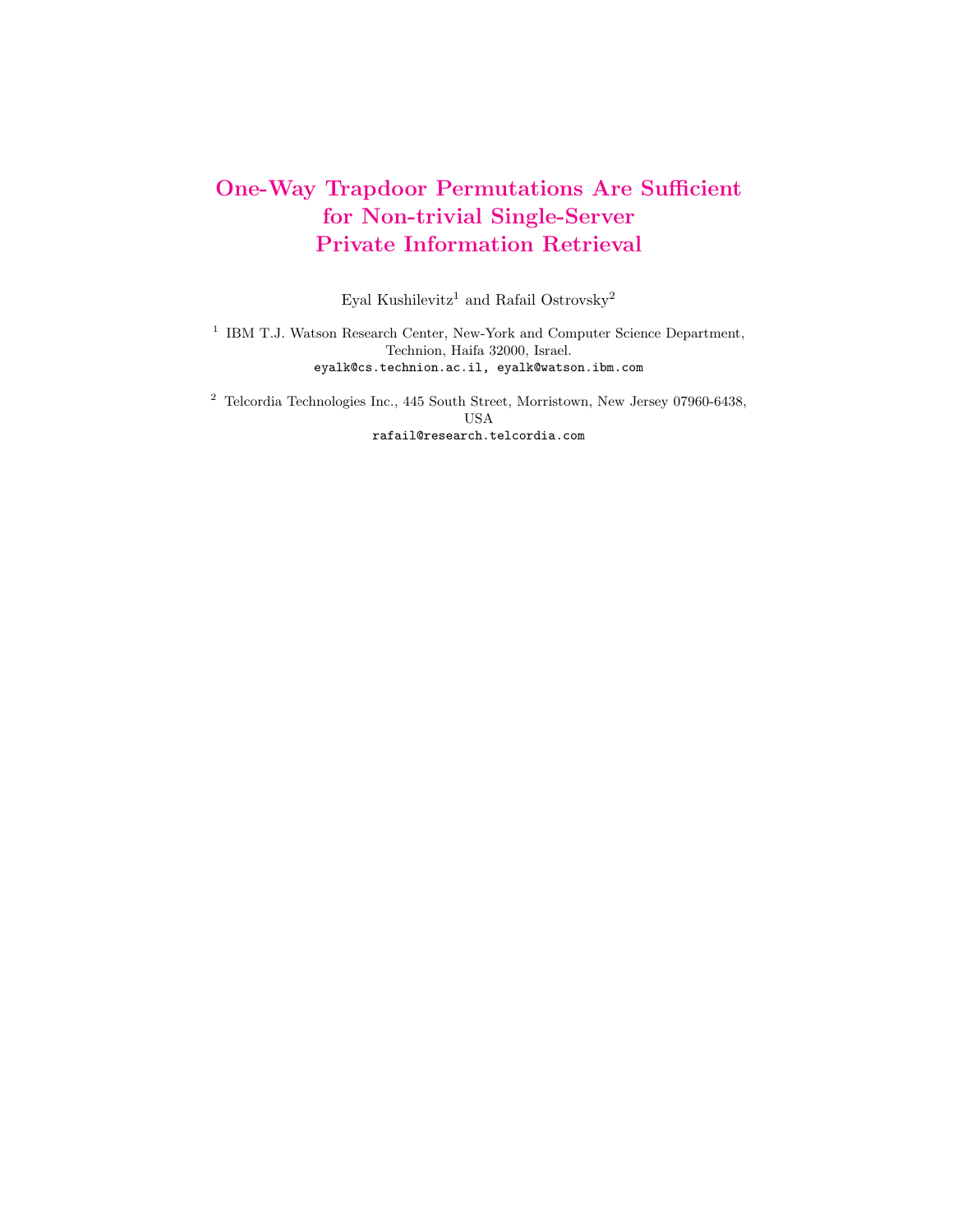# [One-Way Trapdoor Permutations Are Sufficient](http://www.iacr.org/archive/eurocrypt2000/1807/18070104-new.pdf) [for Non-trivial Single-Server](http://www.iacr.org/archive/eurocrypt2000/1807/18070104-new.pdf) [Private Information Retrieval](http://www.iacr.org/archive/eurocrypt2000/1807/18070104-new.pdf)

Eyal Kushilevitz<sup>1</sup> and Rafail Ostrovsky<sup>2</sup>

<sup>1</sup> IBM T.J. Watson Research Center, New-York and Computer Science Department, Technion, Haifa 32000, Israel. eyalk@cs.technion.ac.il, eyalk@watson.ibm.com

<sup>2</sup> Telcordia Technologies Inc., 445 South Street, Morristown, New Jersey 07960-6438, USA rafail@research.telcordia.com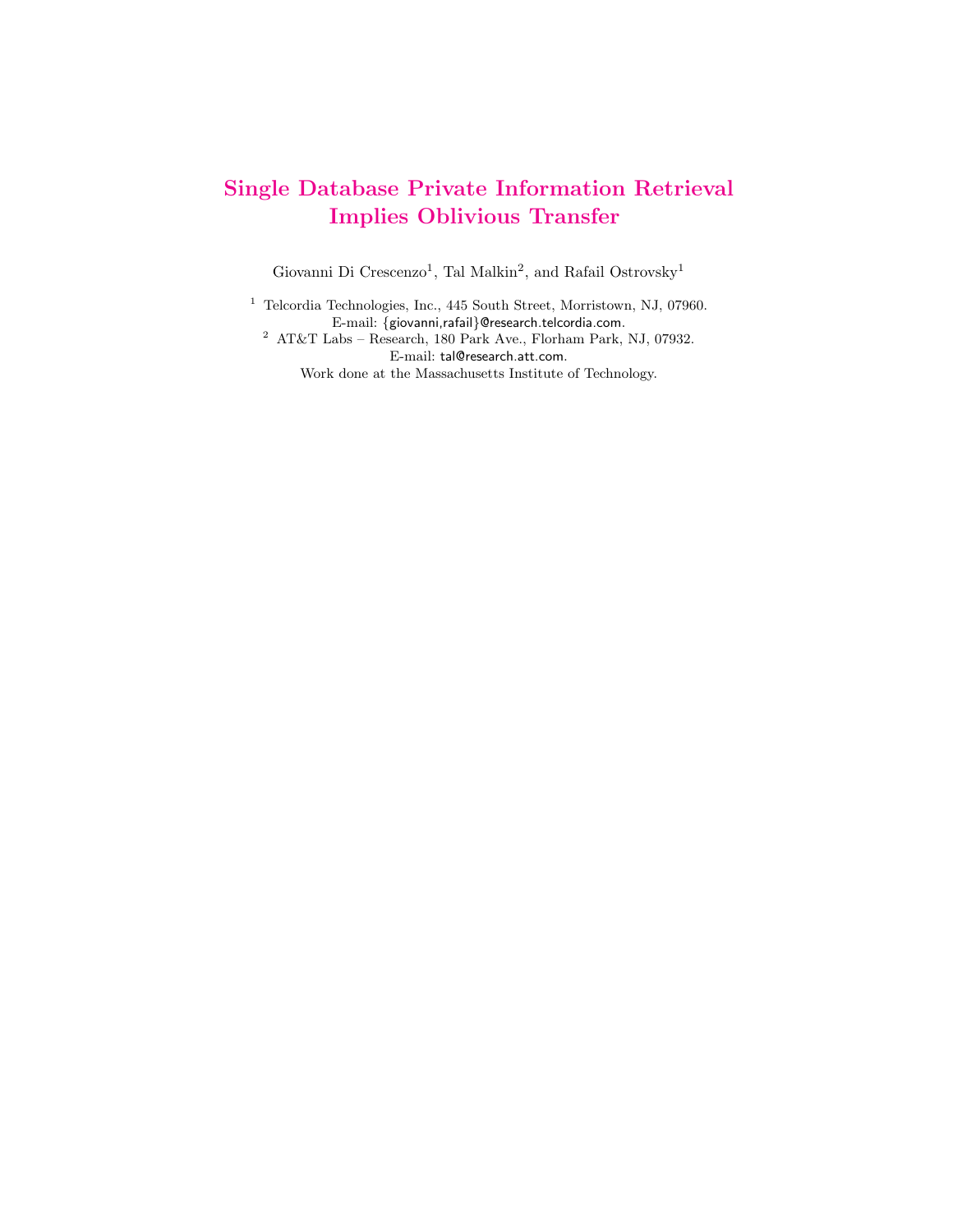# [Single Database Private Information Retrieval](http://www.iacr.org/archive/eurocrypt2000/1807/18070122-new.pdf) [Implies Oblivious Transfer](http://www.iacr.org/archive/eurocrypt2000/1807/18070122-new.pdf)

Giovanni Di Crescenzo<sup>1</sup>, Tal Malkin<sup>2</sup>, and Rafail Ostrovsky<sup>1</sup>

 $^{\rm 1}$  Telcordia Technologies, Inc., 445 South Street, Morristown, NJ, 07960. E-mail: {giovanni,rafail}@research.telcordia.com.  $2$  AT&T Labs – Research, 180 Park Ave., Florham Park, NJ, 07932. E-mail: tal@research.att.com.

Work done at the Massachusetts Institute of Technology.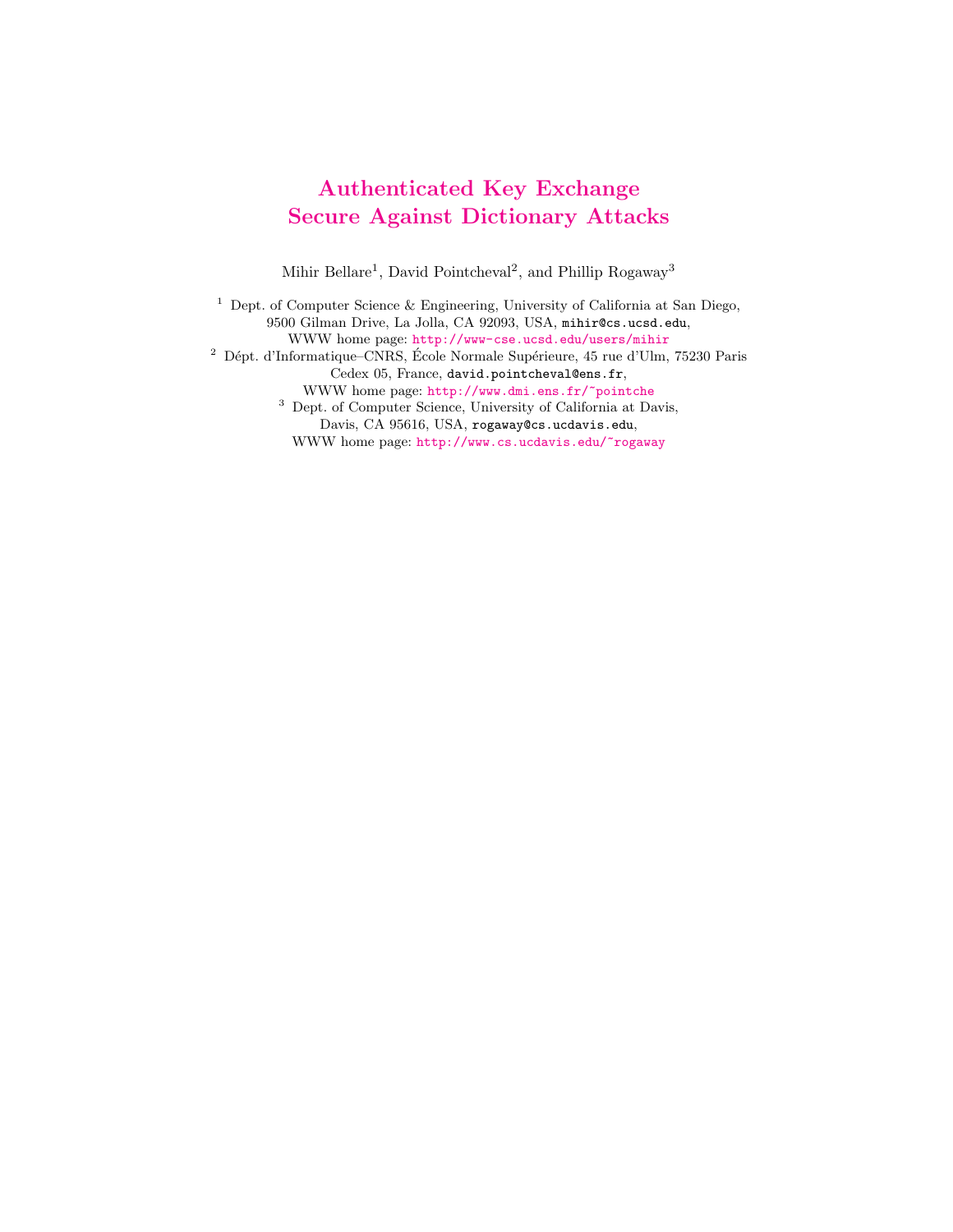# [Authenticated Key Exchange](http://www.iacr.org/archive/eurocrypt2000/1807/18070140-new.pdf) [Secure Against Dictionary Attacks](http://www.iacr.org/archive/eurocrypt2000/1807/18070140-new.pdf)

Mihir Bellare<sup>1</sup>, David Pointcheval<sup>2</sup>, and Phillip Rogaway<sup>3</sup>

 $^{\rm 1}$  Dept. of Computer Science & Engineering, University of California at San Diego, 9500 Gilman Drive, La Jolla, CA 92093, USA, mihir@cs.ucsd.edu, WWW home page: <http://www-cse.ucsd.edu/users/mihir>  $2$  Dépt. d'Informatique–CNRS, École Normale Supérieure, 45 rue d'Ulm, 75230 Paris Cedex 05, France, david.pointcheval@ens.fr, WWW home page: <http://www.dmi.ens.fr/~pointche> <sup>3</sup> Dept. of Computer Science, University of California at Davis, Davis, CA 95616, USA, rogaway@cs.ucdavis.edu, WWW home page: <http://www.cs.ucdavis.edu/~rogaway>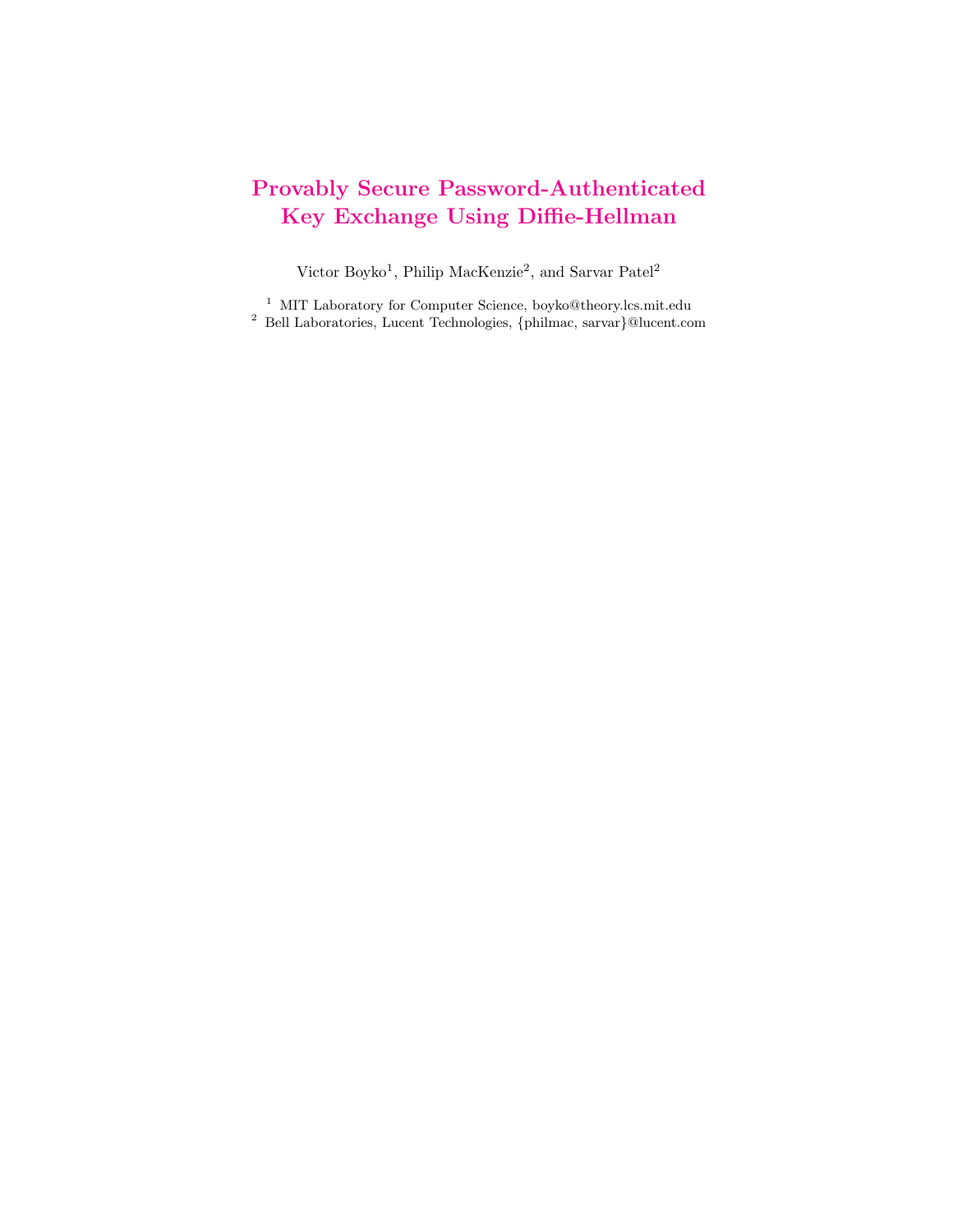# [Provably Secure Password-Authenticated](http://www.iacr.org/archive/eurocrypt2000/1807/18070157-new.pdf) [Key Exchange Using Diffie-Hellman](http://www.iacr.org/archive/eurocrypt2000/1807/18070157-new.pdf)

Victor Boyko<sup>1</sup>, Philip MacKenzie<sup>2</sup>, and Sarvar Patel<sup>2</sup>

<sup>1</sup> MIT Laboratory for Computer Science, boyko@theory.lcs.mit.edu <sup>2</sup> Bell Laboratories, Lucent Technologies, {philmac, sarvar}@lucent.com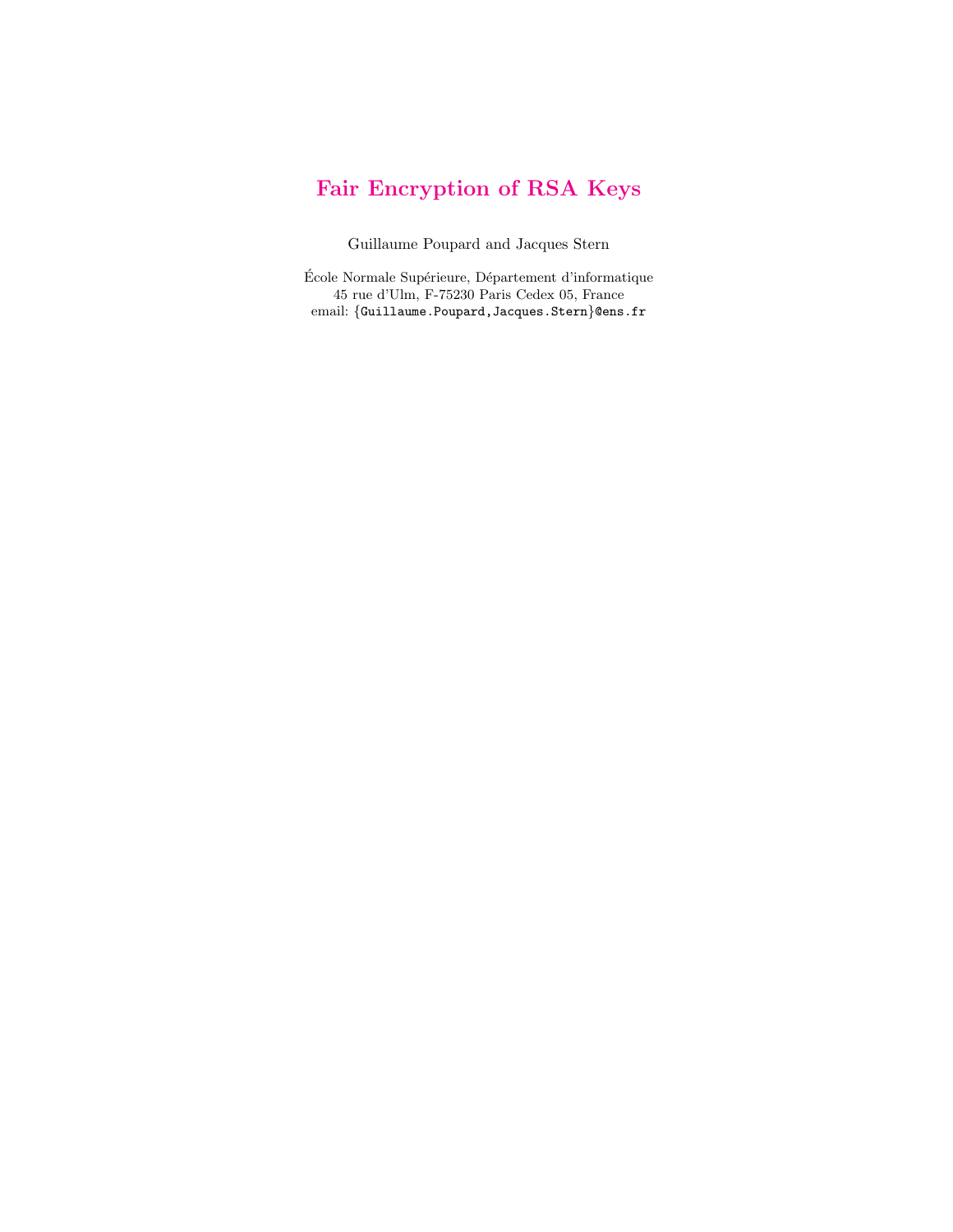# [Fair Encryption of RSA Keys](http://www.iacr.org/archive/eurocrypt2000/1807/18070173-new.pdf)

Guillaume Poupard and Jacques Stern

École Normale Supérieure, Département d'informatique 45 rue d'Ulm, F-75230 Paris Cedex 05, France email: {Guillaume.Poupard,Jacques.Stern}@ens.fr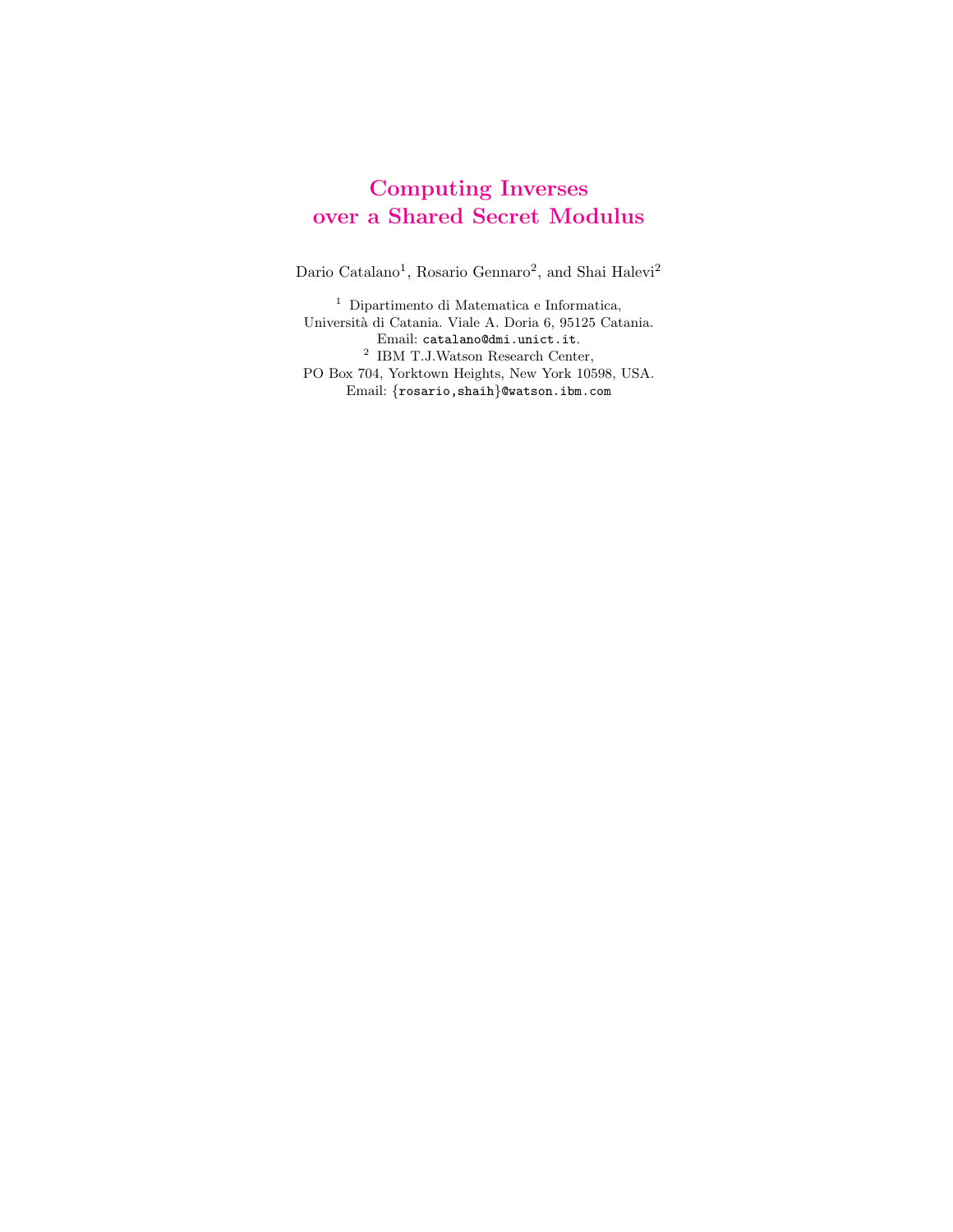## [Computing Inverses](http://www.iacr.org/archive/eurocrypt2000/1807/18070191-new.pdf) [over a Shared Secret Modulus](http://www.iacr.org/archive/eurocrypt2000/1807/18070191-new.pdf)

Dario Catalano<sup>1</sup>, Rosario Gennaro<sup>2</sup>, and Shai Halevi<sup>2</sup>

<sup>1</sup> Dipartimento di Matematica e Informatica, Universit`a di Catania. Viale A. Doria 6, 95125 Catania. Email: catalano@dmi.unict.it. <sup>2</sup> IBM T.J.Watson Research Center, PO Box 704, Yorktown Heights, New York 10598, USA. Email: {rosario,shaih}@watson.ibm.com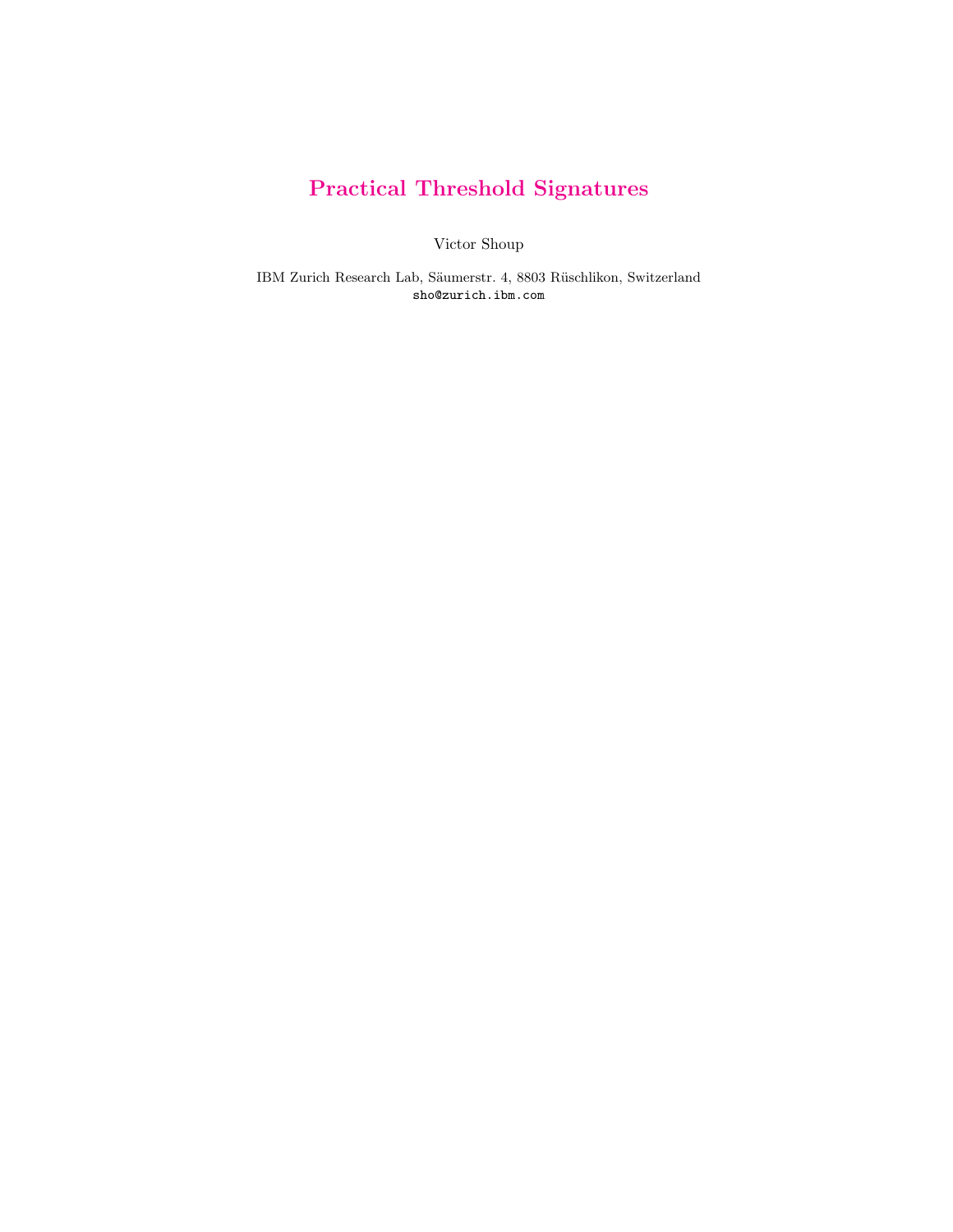# [Practical Threshold Signatures](http://www.iacr.org/archive/eurocrypt2000/1807/18070209-new.pdf)

Victor Shoup

 $\,$ IBM Zurich Research Lab, Säumerstr. 4, 8803 Rüschlikon, Switzerland sho@zurich.ibm.com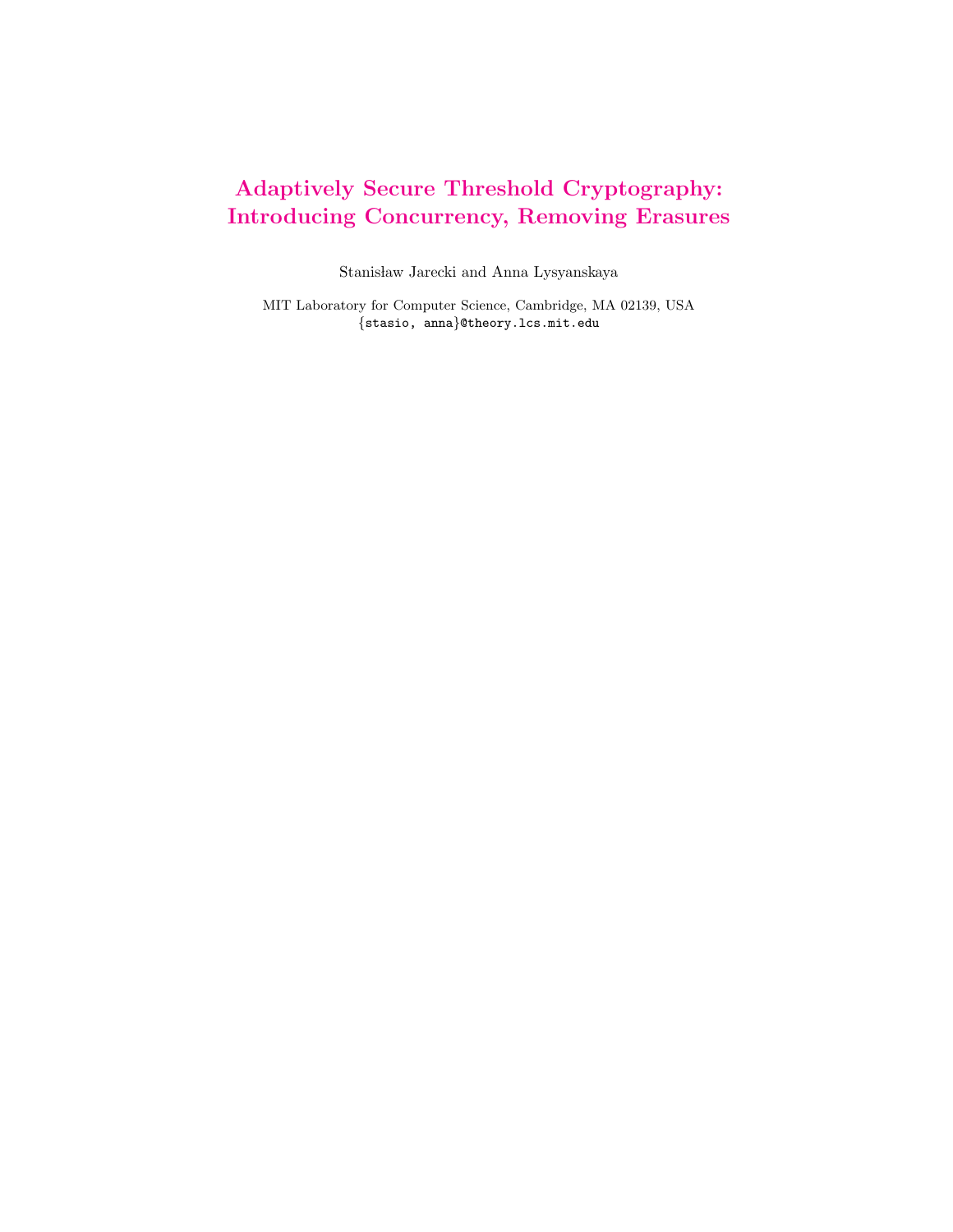## [Adaptively Secure Threshold Cryptography:](http://www.iacr.org/archive/eurocrypt2000/1807/18070223-new.pdf) [Introducing Concurrency, Removing Erasures](http://www.iacr.org/archive/eurocrypt2000/1807/18070223-new.pdf)

Stanisław Jarecki and Anna Lysyanskaya

MIT Laboratory for Computer Science, Cambridge, MA 02139, USA {stasio, anna}@theory.lcs.mit.edu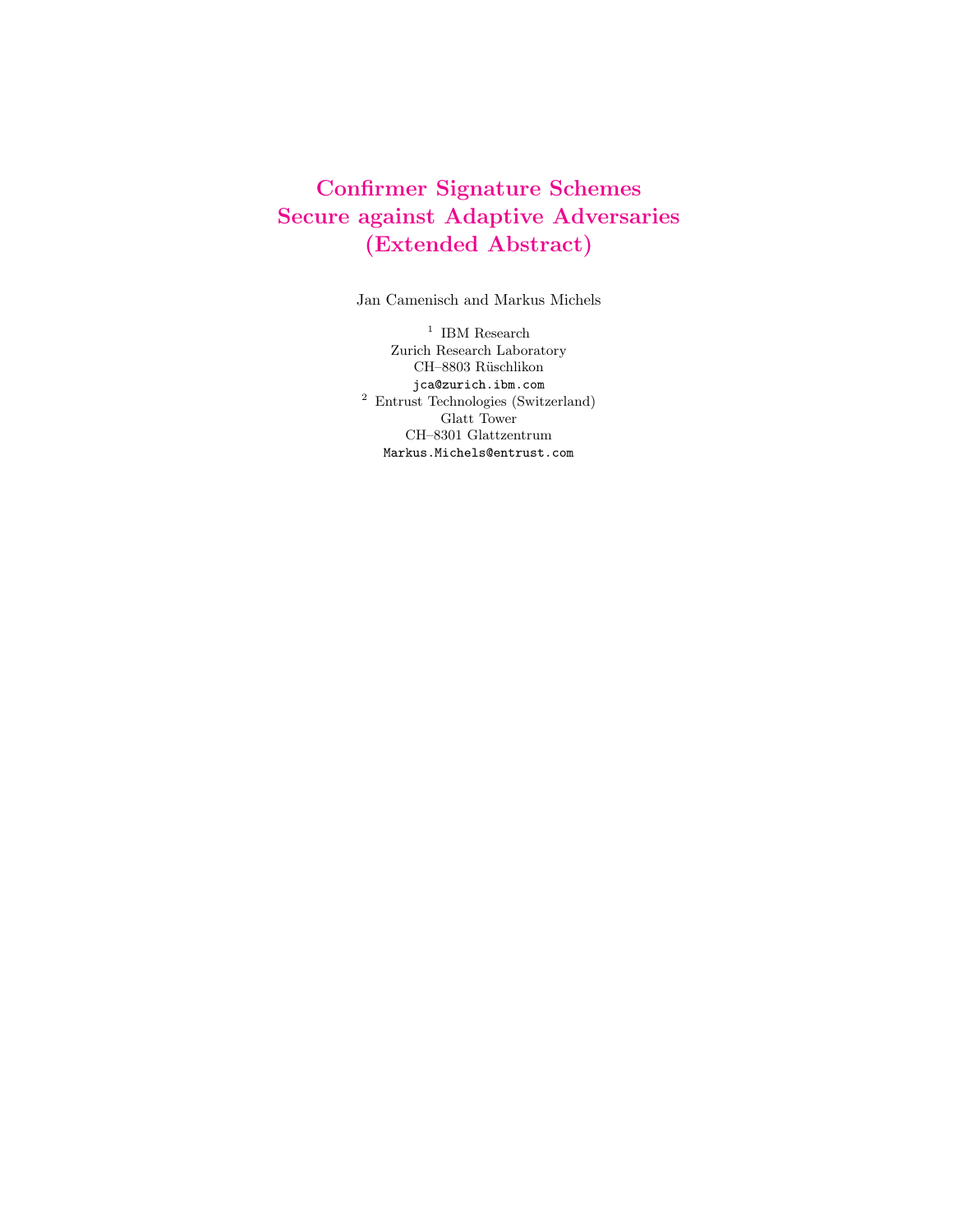# [Confirmer Signature Schemes](http://www.iacr.org/archive/eurocrypt2000/1807/18070246-new.pdf) [Secure against Adaptive Adversaries](http://www.iacr.org/archive/eurocrypt2000/1807/18070246-new.pdf) [\(Extended Abstract\)](http://www.iacr.org/archive/eurocrypt2000/1807/18070246-new.pdf)

Jan Camenisch and Markus Michels

<sup>1</sup> IBM Research Zurich Research Laboratory CH–8803 Rüschlikon jca@zurich.ibm.com <sup>2</sup> Entrust Technologies (Switzerland) Glatt Tower CH–8301 Glattzentrum Markus.Michels@entrust.com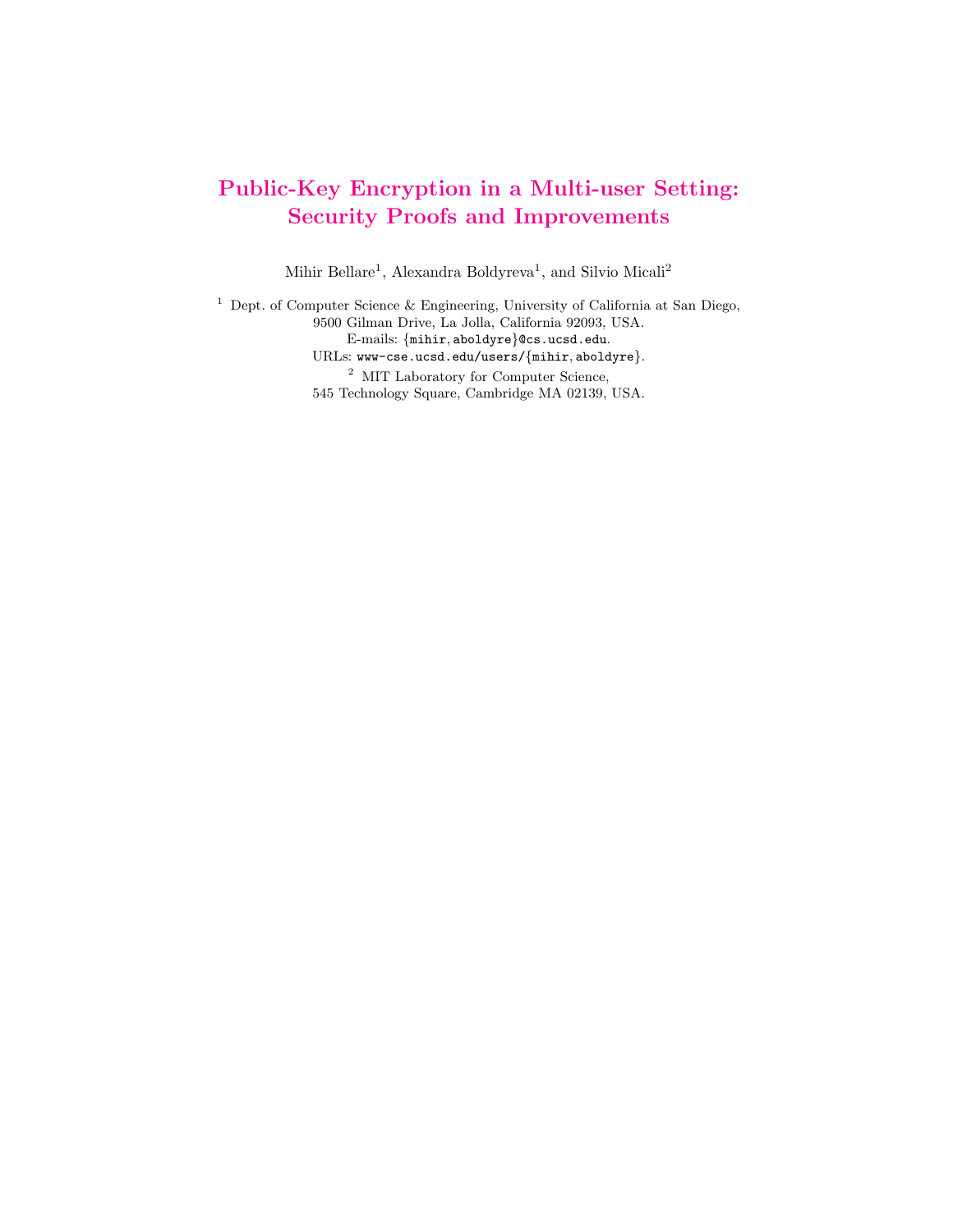#### [Public-Key Encryption in a Multi-user Setting:](http://www.iacr.org/archive/eurocrypt2000/1807/18070262-new.pdf) [Security Proofs and Improvements](http://www.iacr.org/archive/eurocrypt2000/1807/18070262-new.pdf)

Mihir Bellare<sup>1</sup>, Alexandra Boldyreva<sup>1</sup>, and Silvio Micali<sup>2</sup>

 $^{\rm 1}$  Dept. of Computer Science & Engineering, University of California at San Diego, 9500 Gilman Drive, La Jolla, California 92093, USA. E-mails: {mihir, aboldyre}@cs.ucsd.edu. URLs: www-cse.ucsd.edu/users/{mihir, aboldyre}. <sup>2</sup> MIT Laboratory for Computer Science, 545 Technology Square, Cambridge MA 02139, USA.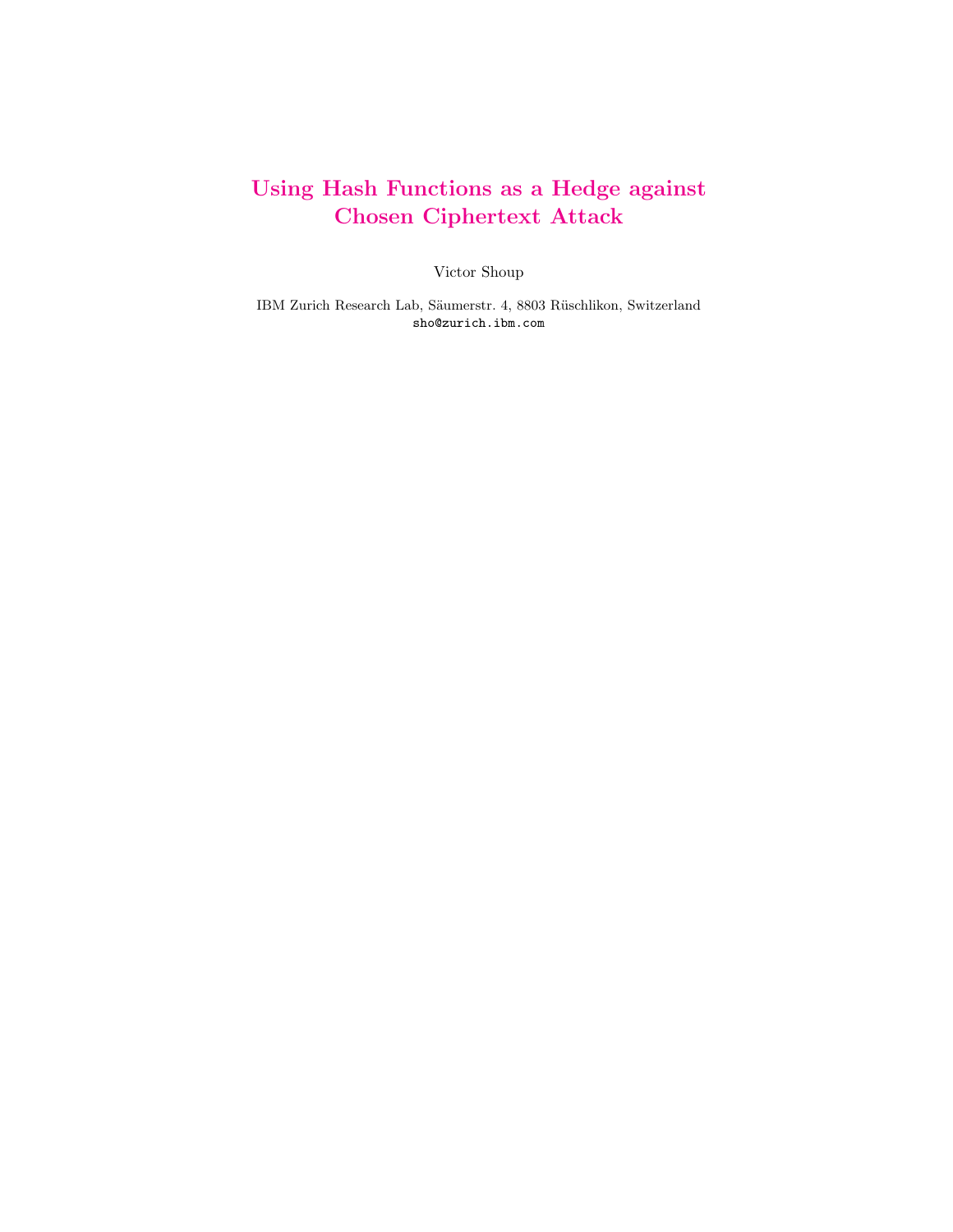# [Using Hash Functions as a Hedge against](http://www.iacr.org/archive/eurocrypt2000/1807/18070279-new.pdf) [Chosen Ciphertext Attack](http://www.iacr.org/archive/eurocrypt2000/1807/18070279-new.pdf)

Victor Shoup

 $\,$ IBM Zurich Research Lab, Säumerstr. 4, 8803 Rüschlikon, Switzerland sho@zurich.ibm.com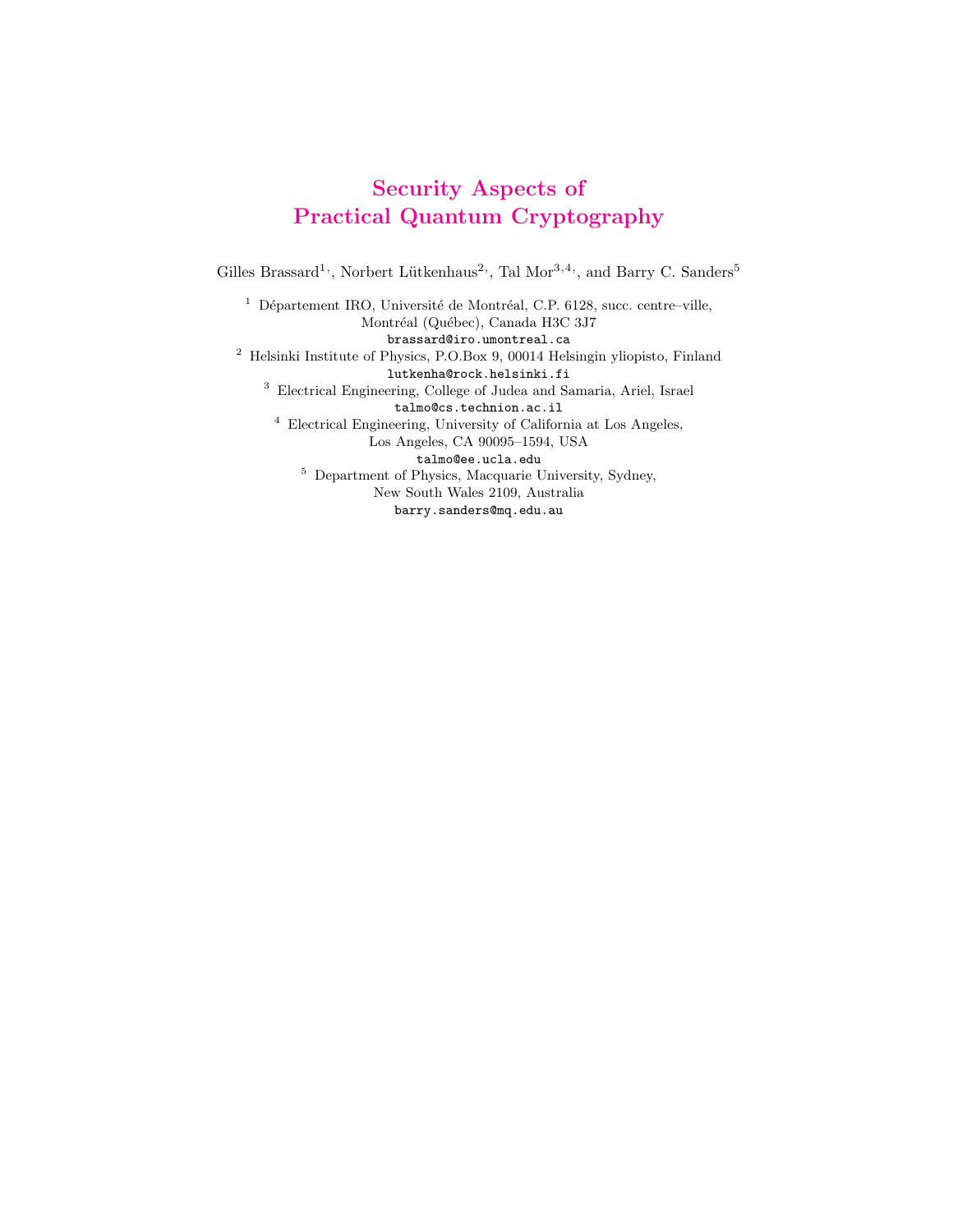#### [Security Aspects of](http://www.iacr.org/archive/eurocrypt2000/1807/18070294-new.pdf) [Practical Quantum Cryptography](http://www.iacr.org/archive/eurocrypt2000/1807/18070294-new.pdf)

Gilles Brassard<sup>1</sup>', Norbert Lütkenhaus<sup>2</sup>', Tal Mor<sup>3,4</sup>', and Barry C. Sanders<sup>5</sup>

 $^{\rm 1}$  Département IRO, Université de Montréal, C.P. 6128, succ. centre–ville, Montréal (Québec), Canada H3C 3J7 brassard@iro.umontreal.ca <sup>2</sup> Helsinki Institute of Physics, P.O.Box 9, 00014 Helsingin yliopisto, Finland lutkenha@rock.helsinki.fi  $^3\,$  Electrical Engineering, College of Judea and Samaria, Ariel, Israel talmo@cs.technion.ac.il <sup>4</sup> Electrical Engineering, University of California at Los Angeles, Los Angeles, CA 90095–1594, USA talmo@ee.ucla.edu <sup>5</sup> Department of Physics, Macquarie University, Sydney, New South Wales 2109, Australia barry.sanders@mq.edu.au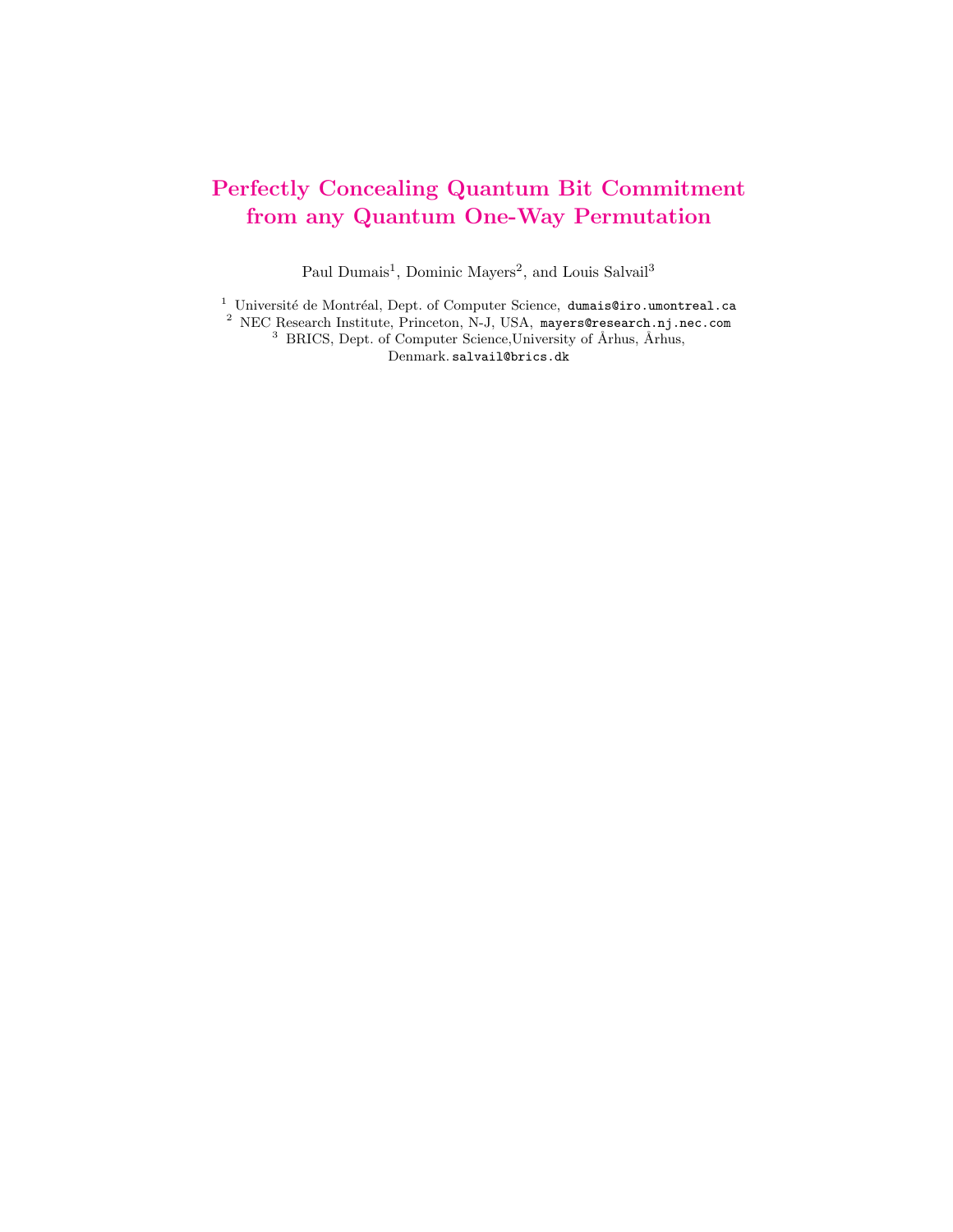## [Perfectly Concealing Quantum Bit Commitment](http://www.iacr.org/archive/eurocrypt2000/1807/18070305-new.pdf) [from any Quantum One-Way Permutation](http://www.iacr.org/archive/eurocrypt2000/1807/18070305-new.pdf)

Paul Dumais<sup>1</sup>, Dominic Mayers<sup>2</sup>, and Louis Salvail<sup>3</sup>

 $1$  Université de Montréal, Dept. of Computer Science, dumais@iro.umontreal.ca

 $^{2}$  NEC Research Institute, Princeton, N-J, USA, mayers@research.nj.nec.com

<sup>3</sup> BRICS, Dept. of Computer Science, University of Århus, Århus, Denmark. salvail@brics.dk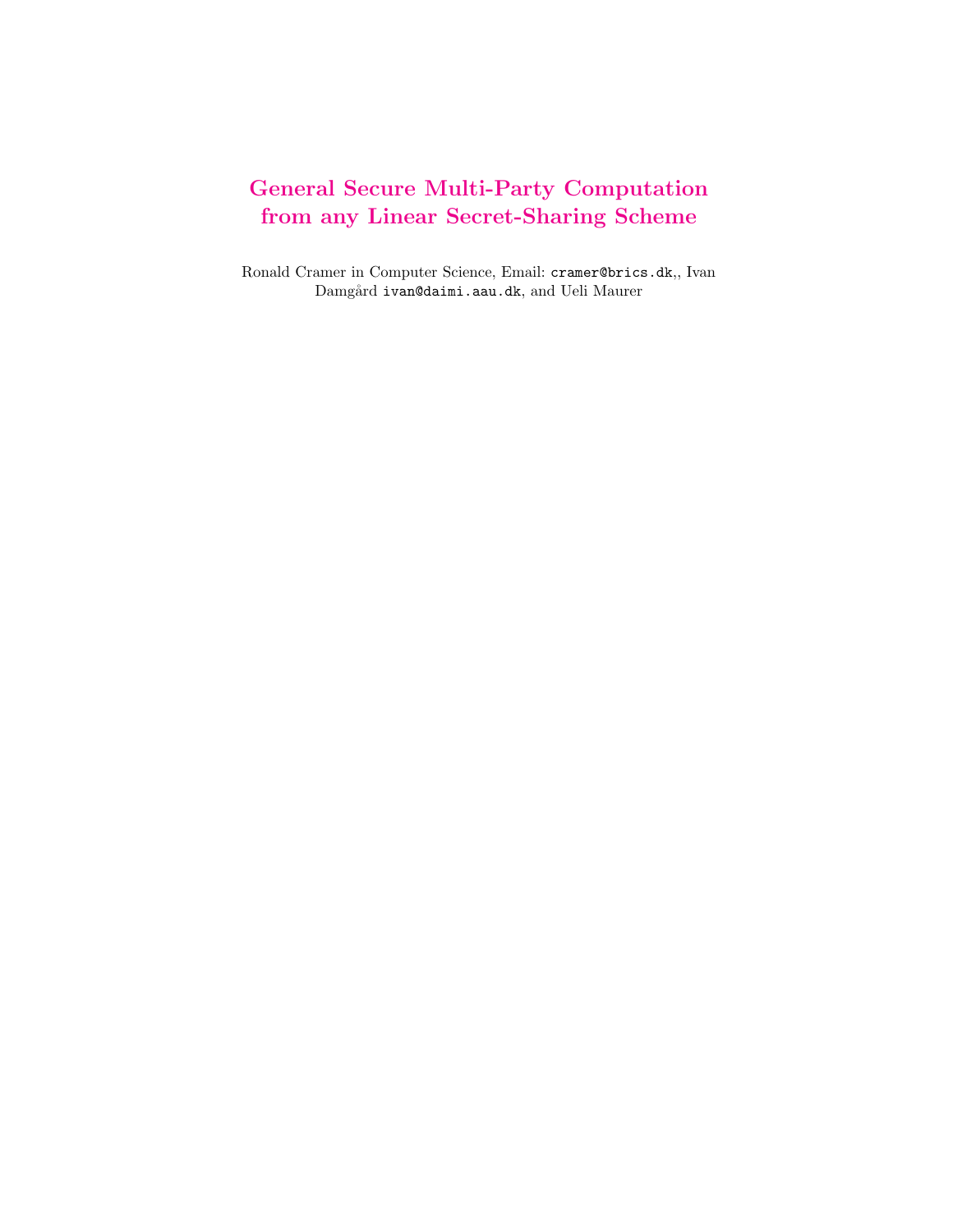# [General Secure Multi-Party Computation](http://www.iacr.org/archive/eurocrypt2000/1807/18070321-new.pdf) [from any Linear Secret-Sharing Scheme](http://www.iacr.org/archive/eurocrypt2000/1807/18070321-new.pdf)

Ronald Cramer in Computer Science, Email: cramer@brics.dk,, Ivan Damgård ivan@daimi.aau.dk, and Ueli Maurer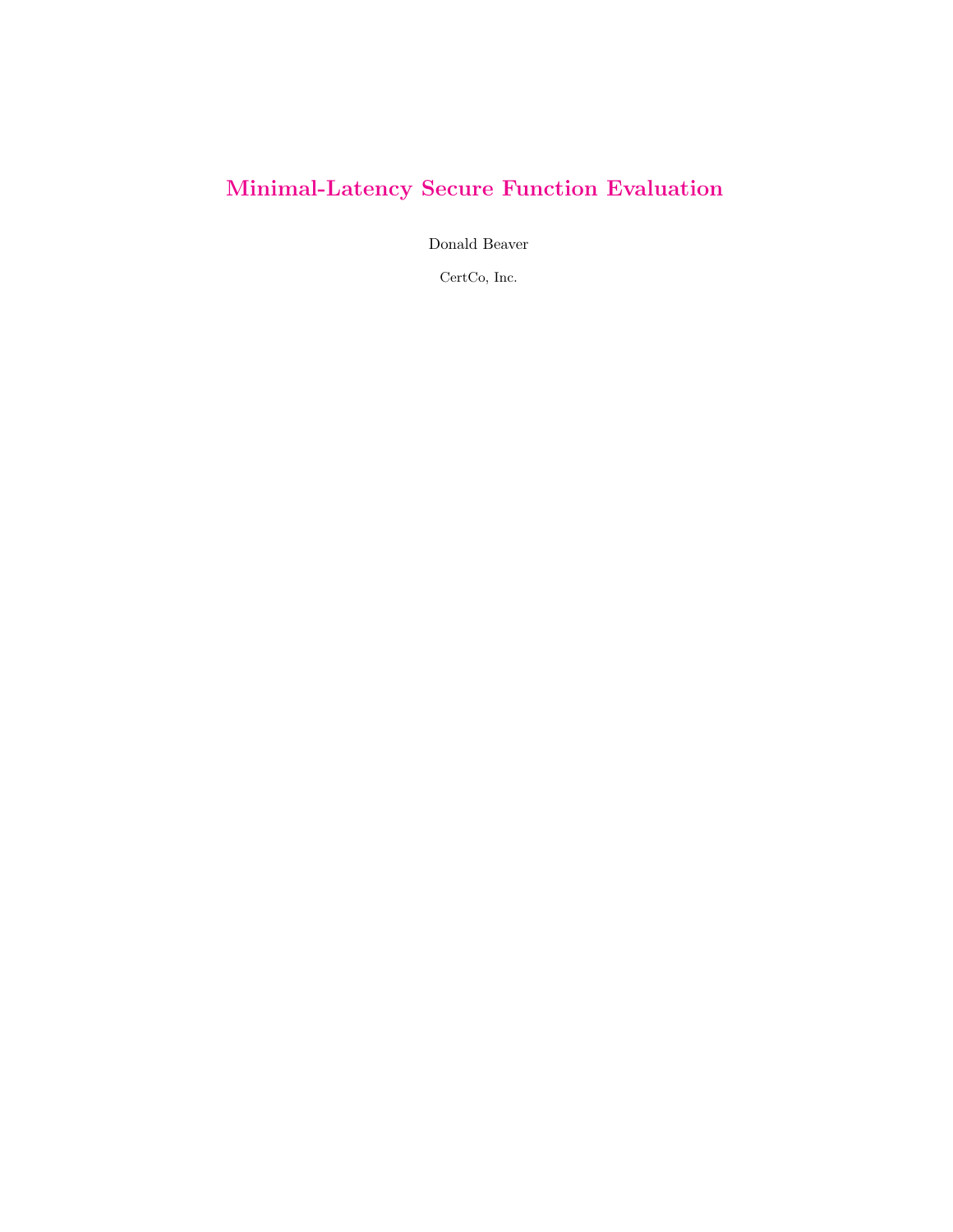# [Minimal-Latency Secure Function Evaluation](http://www.iacr.org/archive/eurocrypt2000/1807/18070340-new.pdf)

Donald Beaver

CertCo, Inc.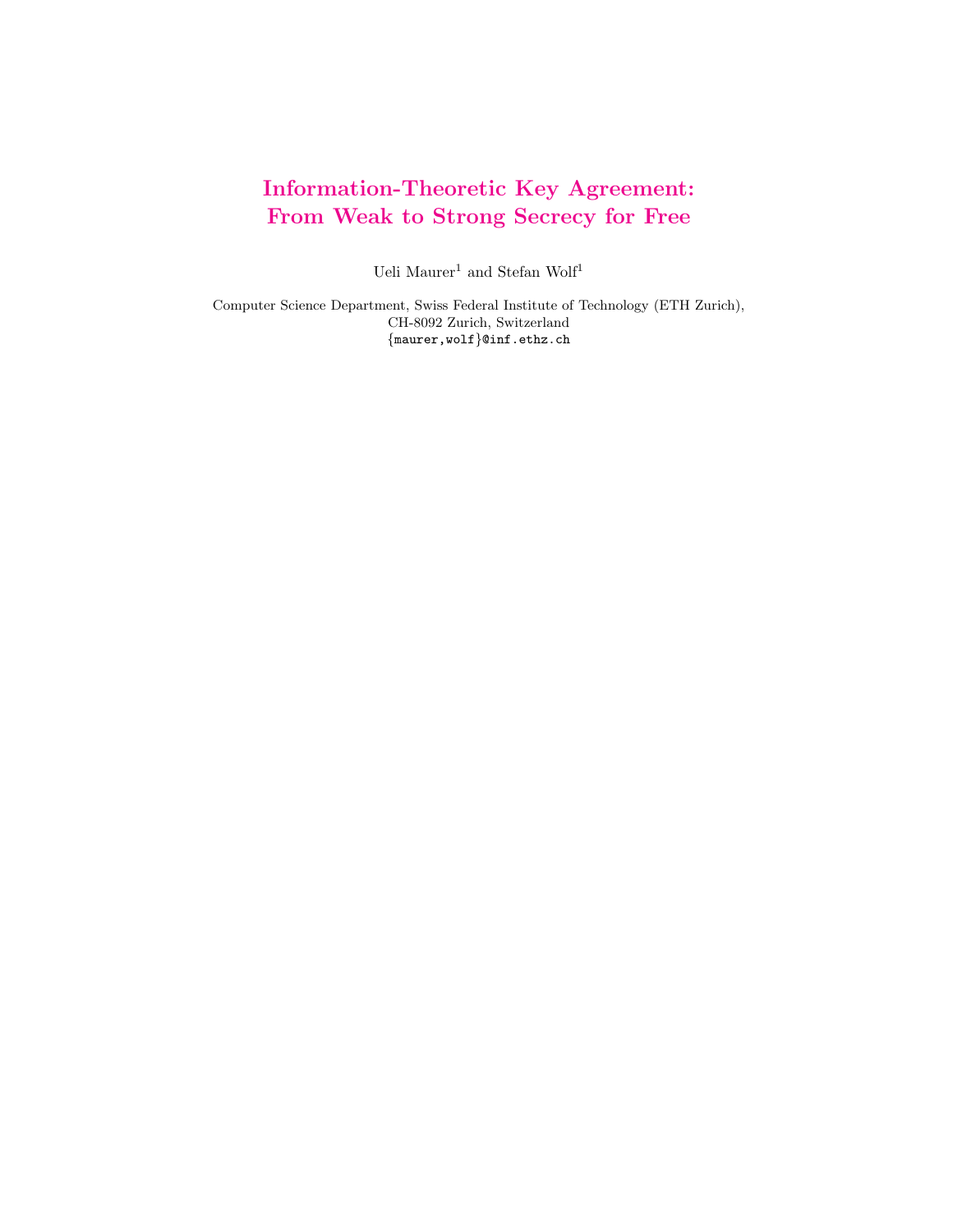# [Information-Theoretic Key Agreement:](http://www.iacr.org/archive/eurocrypt2000/1807/18070356-new.pdf) [From Weak to Strong Secrecy for Free](http://www.iacr.org/archive/eurocrypt2000/1807/18070356-new.pdf)

Ueli $\rm Maurer^1$  and Stefan  $\rm Wolf^1$ 

Computer Science Department, Swiss Federal Institute of Technology (ETH Zurich), CH-8092 Zurich, Switzerland {maurer,wolf}@inf.ethz.ch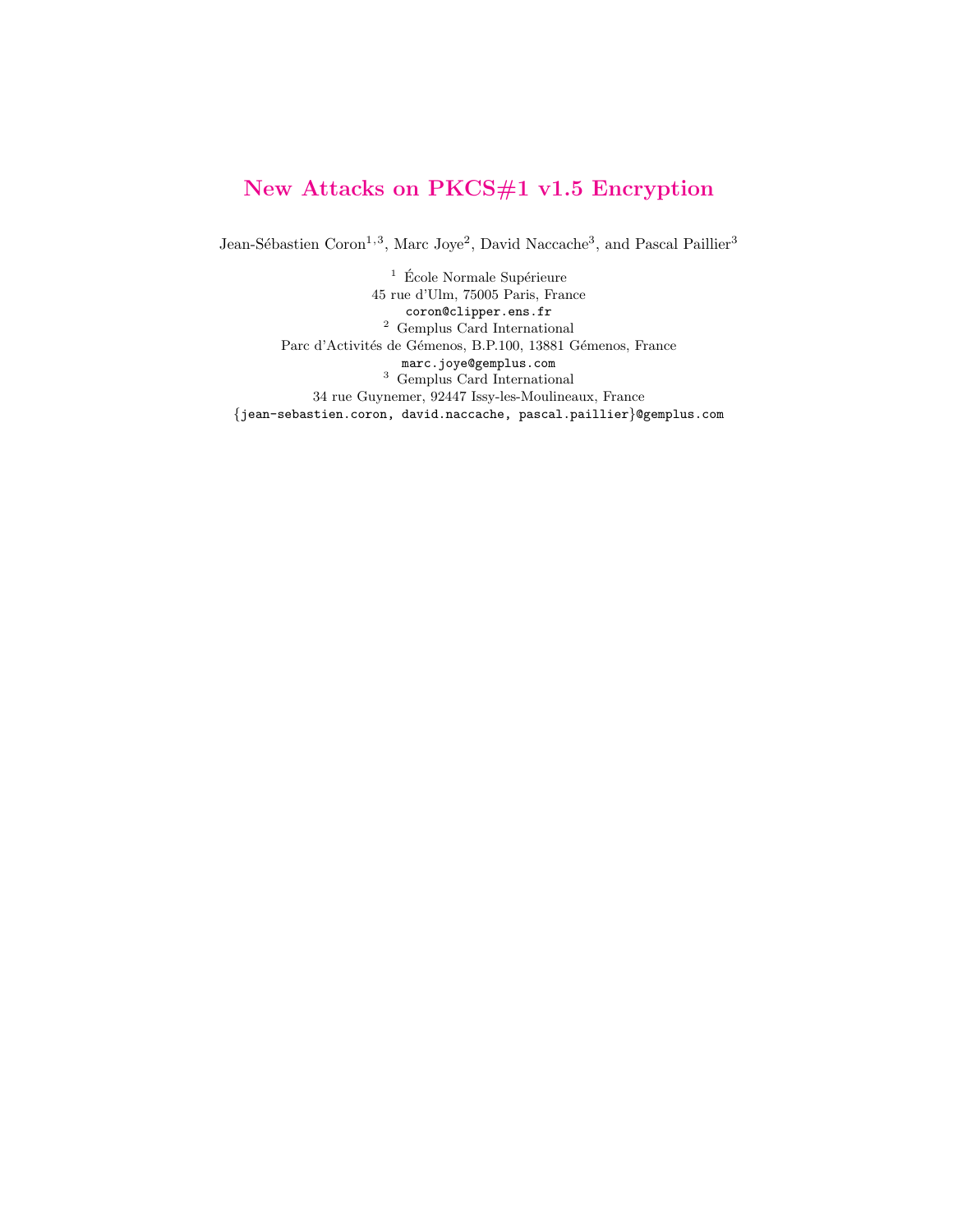#### [New Attacks on PKCS#1 v1.5 Encryption](http://www.iacr.org/archive/eurocrypt2000/1807/18070374-new.pdf)

Jean-Sébastien Coron<sup>1,3</sup>, Marc Joye<sup>2</sup>, David Naccache<sup>3</sup>, and Pascal Paillier<sup>3</sup>

 $^{\rm 1}$  École Normale Supérieure 45 rue d'Ulm, 75005 Paris, France coron@clipper.ens.fr <sup>2</sup> Gemplus Card International Parc d'Activités de Gémenos, B.P.100, 13881 Gémenos, France marc.joye@gemplus.com <sup>3</sup> Gemplus Card International 34 rue Guynemer, 92447 Issy-les-Moulineaux, France {jean-sebastien.coron, david.naccache, pascal.paillier}@gemplus.com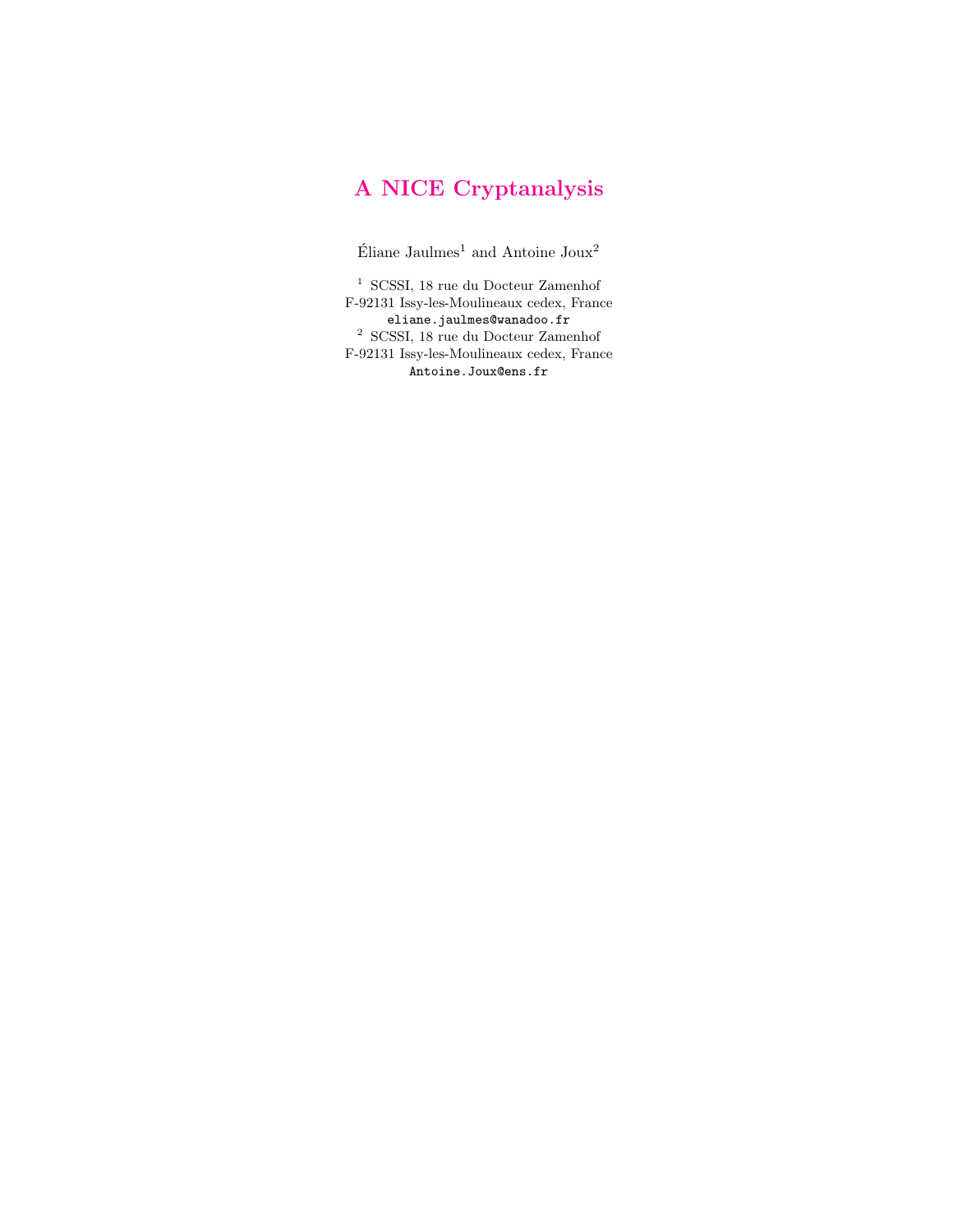# [A NICE Cryptanalysis](http://www.iacr.org/archive/eurocrypt2000/1807/18070388-new.pdf)

 $\rm \acute{E}liane\ Jaulmes^1$  and Antoine  $\rm Joux^2$ 

<sup>1</sup> SCSSI, 18 rue du Docteur Zamenhof F-92131 Issy-les-Moulineaux cedex, France eliane.jaulmes@wanadoo.fr <sup>2</sup> SCSSI, 18 rue du Docteur Zamenhof F-92131 Issy-les-Moulineaux cedex, France Antoine.Joux@ens.fr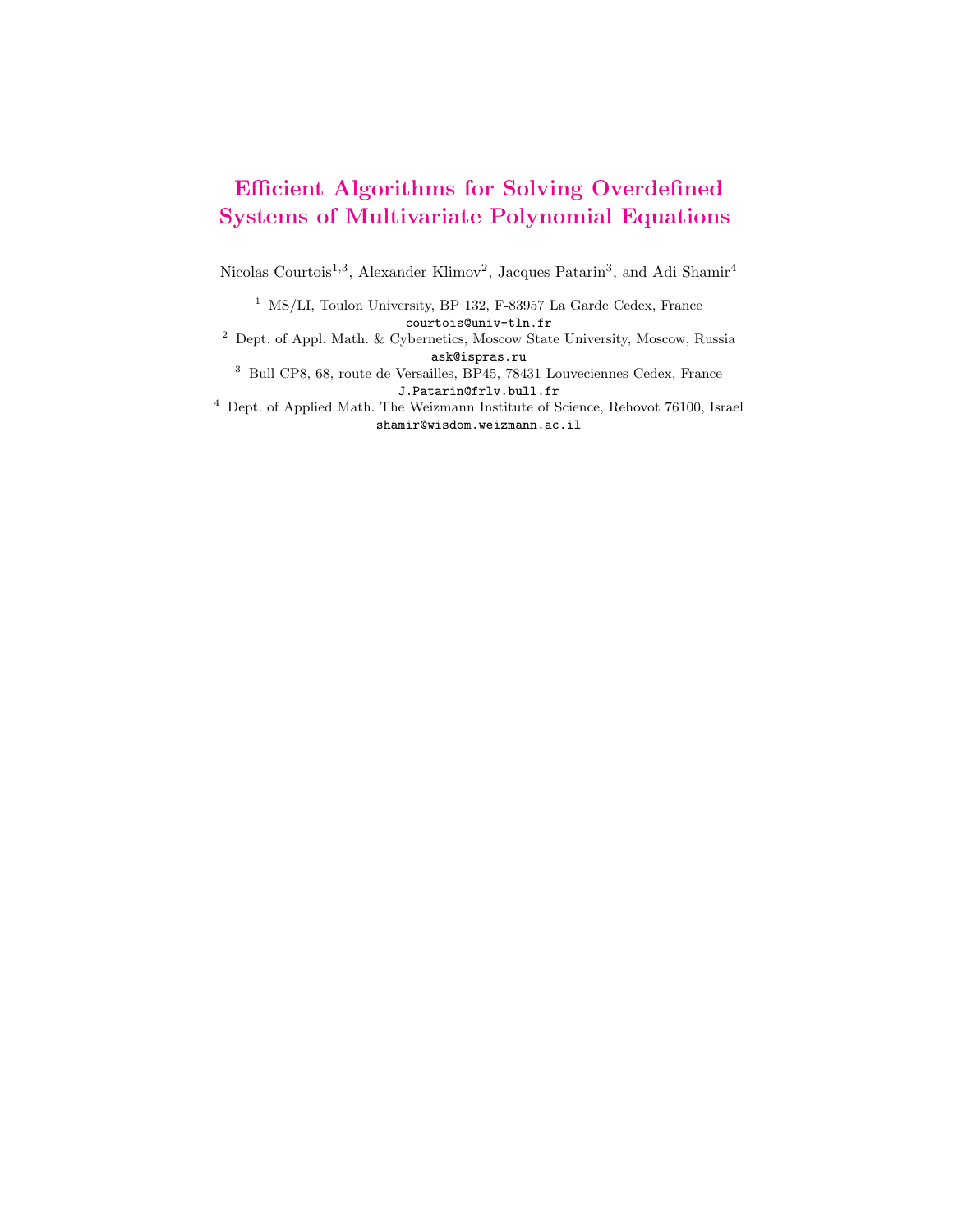#### [Efficient Algorithms for Solving Overdefined](http://www.iacr.org/archive/eurocrypt2000/1807/18070398-new.pdf) [Systems of Multivariate Polynomial Equations](http://www.iacr.org/archive/eurocrypt2000/1807/18070398-new.pdf)

Nicolas Courtois<sup>1,3</sup>, Alexander Klimov<sup>2</sup>, Jacques Patarin<sup>3</sup>, and Adi Shamir<sup>4</sup>

 $^{\rm 1}$  MS/LI, Toulon University, BP 132, F-83957 La Garde Cedex, France courtois@univ-tln.fr

<sup>2</sup> Dept. of Appl. Math. & Cybernetics, Moscow State University, Moscow, Russia ask@ispras.ru

 $^3\,$  Bull CP8, 68, route de Versailles, BP45, 78431 Louve<br/>ciennes Cedex, France J.Patarin@frlv.bull.fr

 $^4\,$  Dept. of Applied Math. The Weizmann Institute of Science, Rehovot 76100, Israel shamir@wisdom.weizmann.ac.il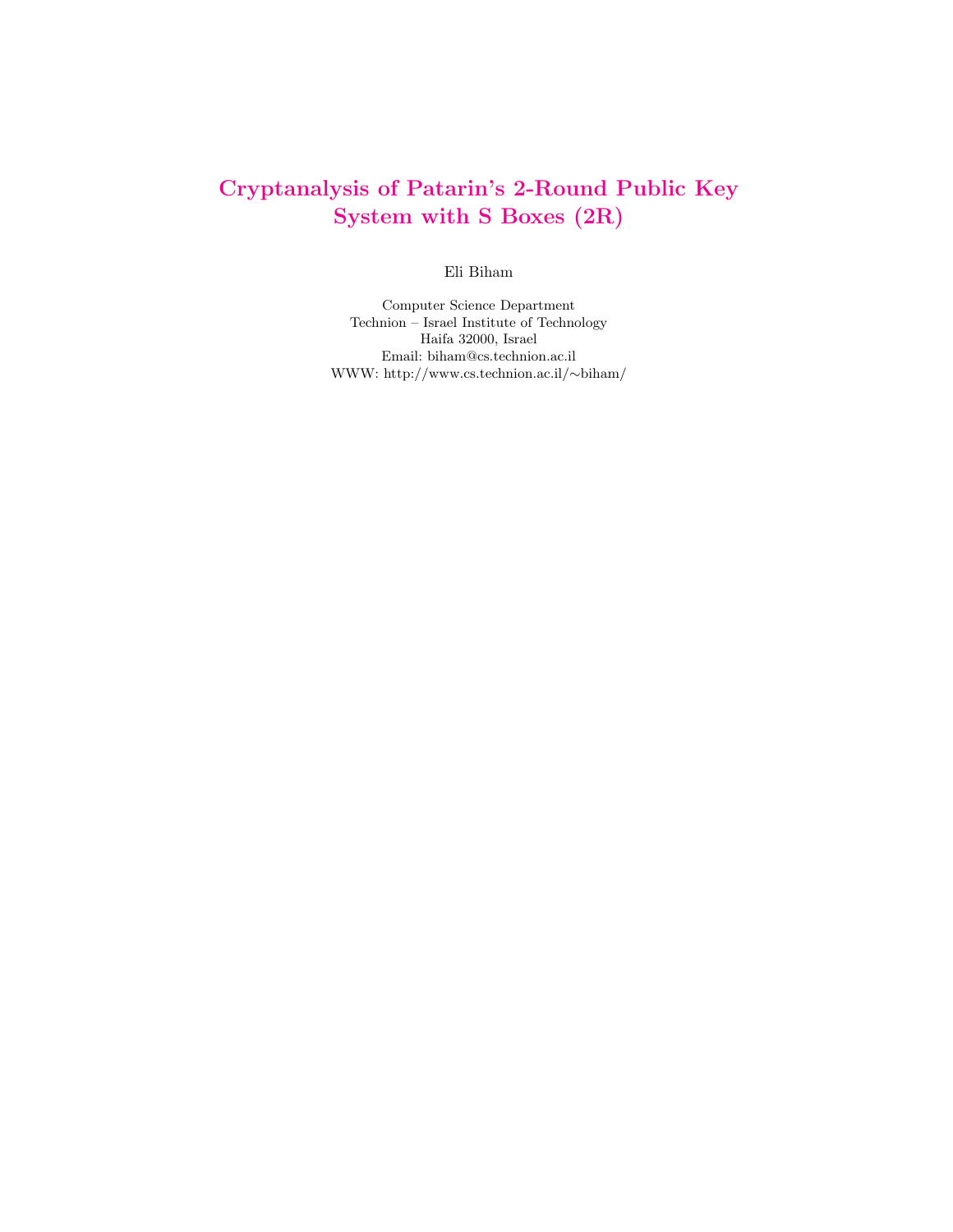# [Cryptanalysis of Patarin's 2-Round Public Key](http://www.iacr.org/archive/eurocrypt2000/1807/18070414-new.pdf) [System with S Boxes \(2R\)](http://www.iacr.org/archive/eurocrypt2000/1807/18070414-new.pdf)

Eli Biham

Computer Science Department Technion – Israel Institute of Technology Haifa 32000, Israel Email: biham@cs.technion.ac.il WWW: http://www.cs.technion.ac.il/∼biham/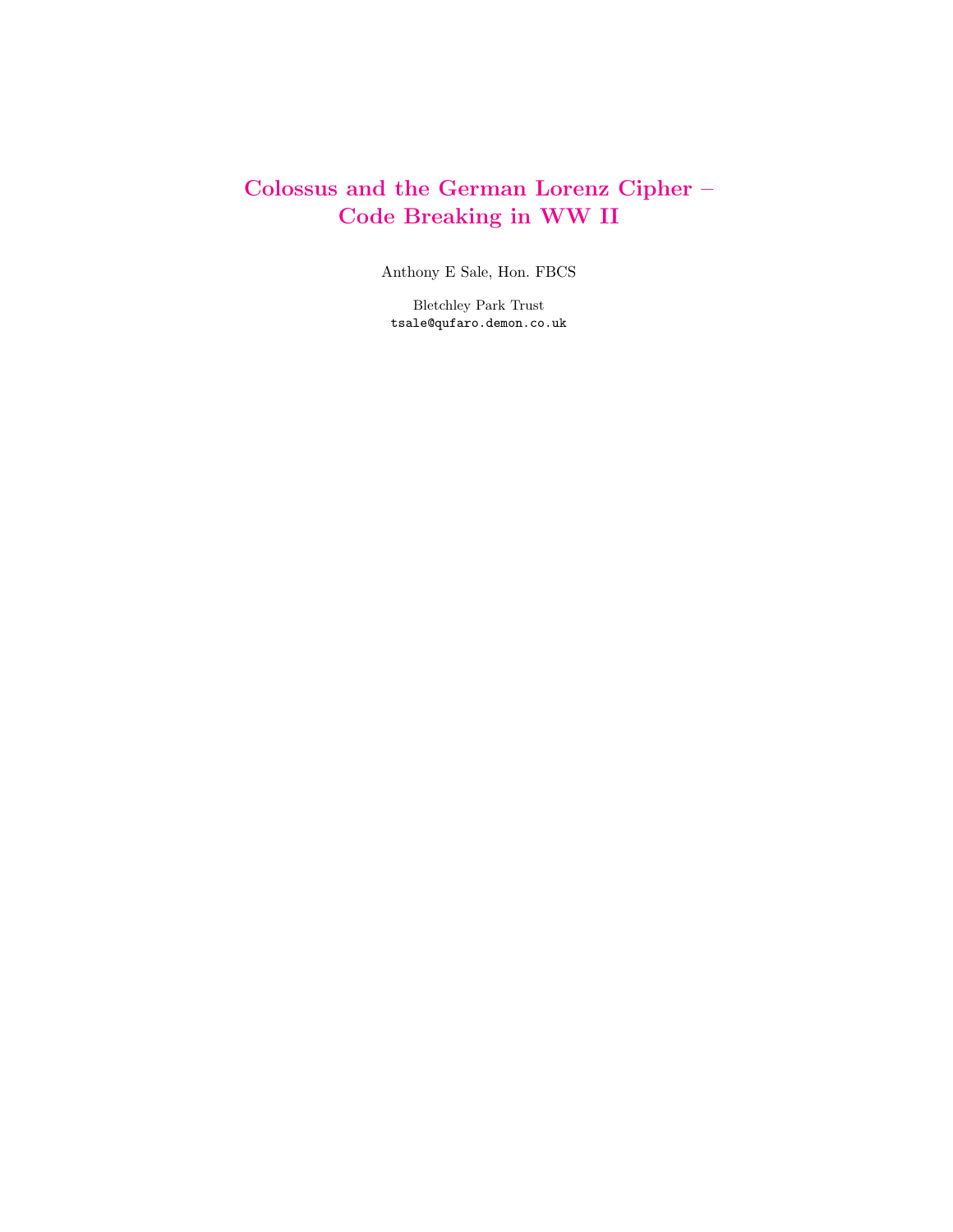# [Colossus and the German Lorenz Cipher –](http://www.iacr.org/archive/eurocrypt2000/1807/18070423-new.pdf) [Code Breaking in WW II](http://www.iacr.org/archive/eurocrypt2000/1807/18070423-new.pdf)

Anthony E Sale, Hon. FBCS

Bletchley Park Trust tsale@qufaro.demon.co.uk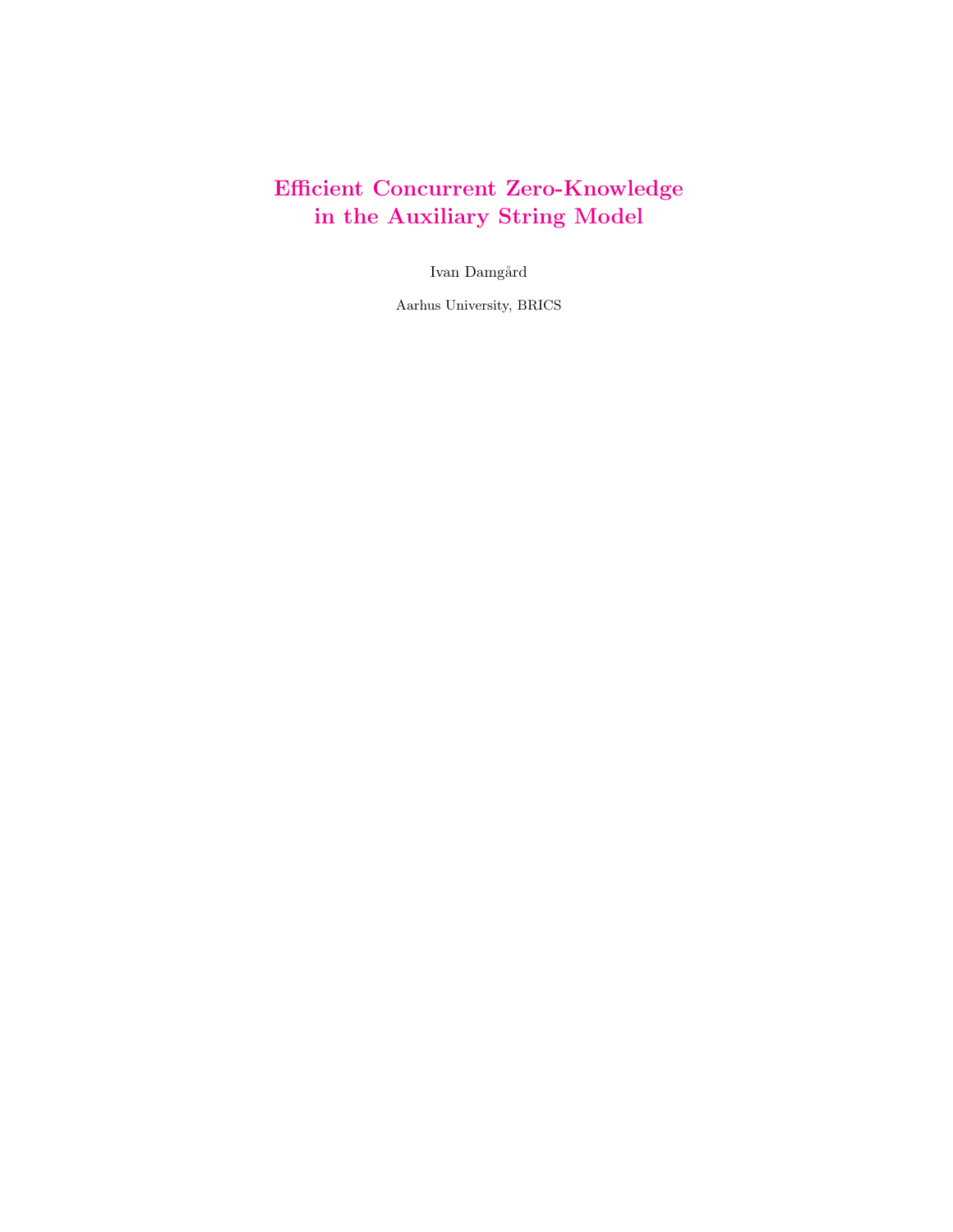# [Efficient Concurrent Zero-Knowledge](http://www.iacr.org/archive/eurocrypt2000/1807/18070424-new.pdf) [in the Auxiliary String Model](http://www.iacr.org/archive/eurocrypt2000/1807/18070424-new.pdf)

Ivan $\operatorname{Damg\^a}$ 

Aarhus University, BRICS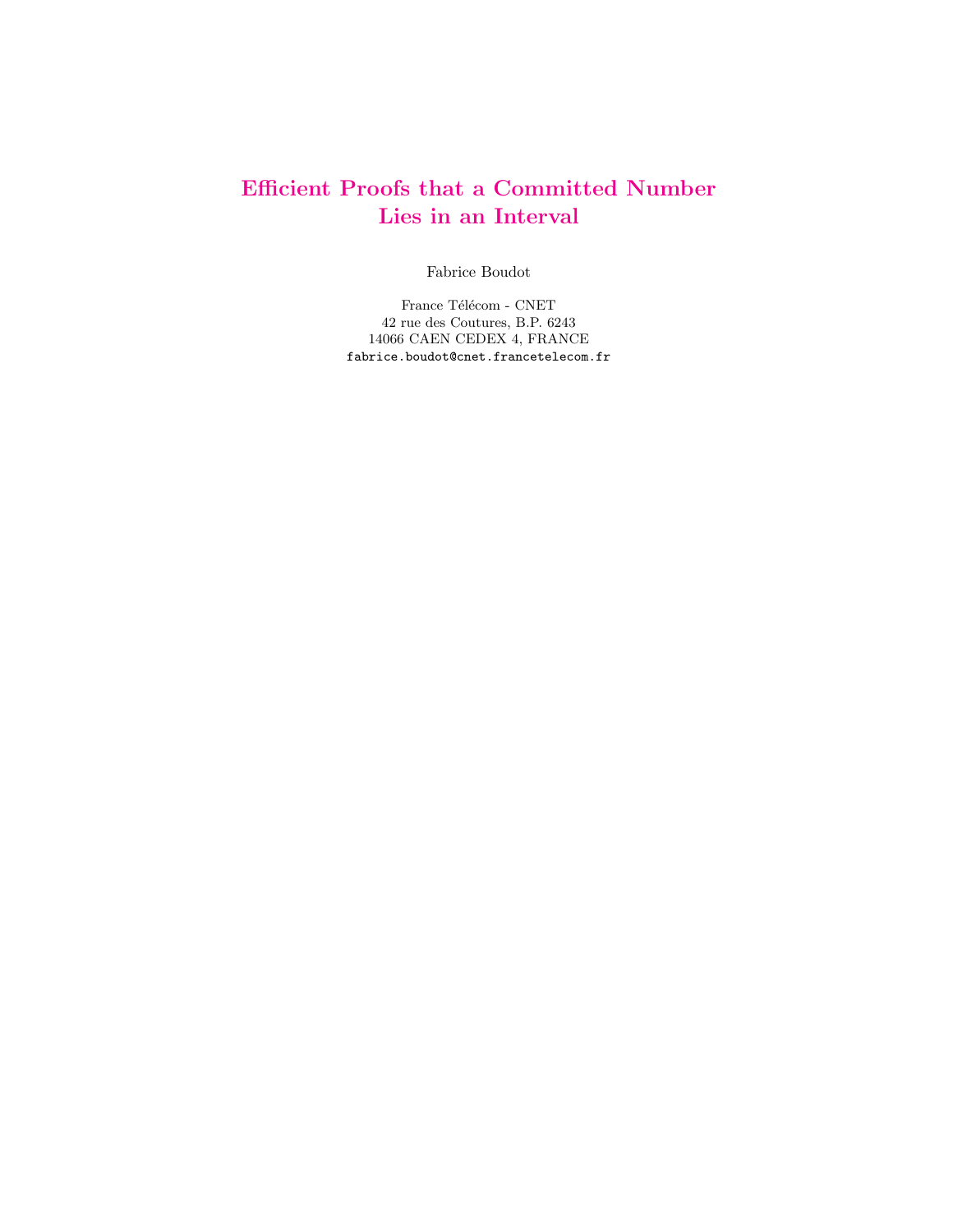## [Efficient Proofs that a Committed Number](http://www.iacr.org/archive/eurocrypt2000/1807/18070437-new.pdf) [Lies in an Interval](http://www.iacr.org/archive/eurocrypt2000/1807/18070437-new.pdf)

Fabrice Boudot

France Télécom -  $\ensuremath{\mathrm{CNET}}$ 42 rue des Coutures, B.P. 6243 14066 CAEN CEDEX 4, FRANCE fabrice.boudot@cnet.francetelecom.fr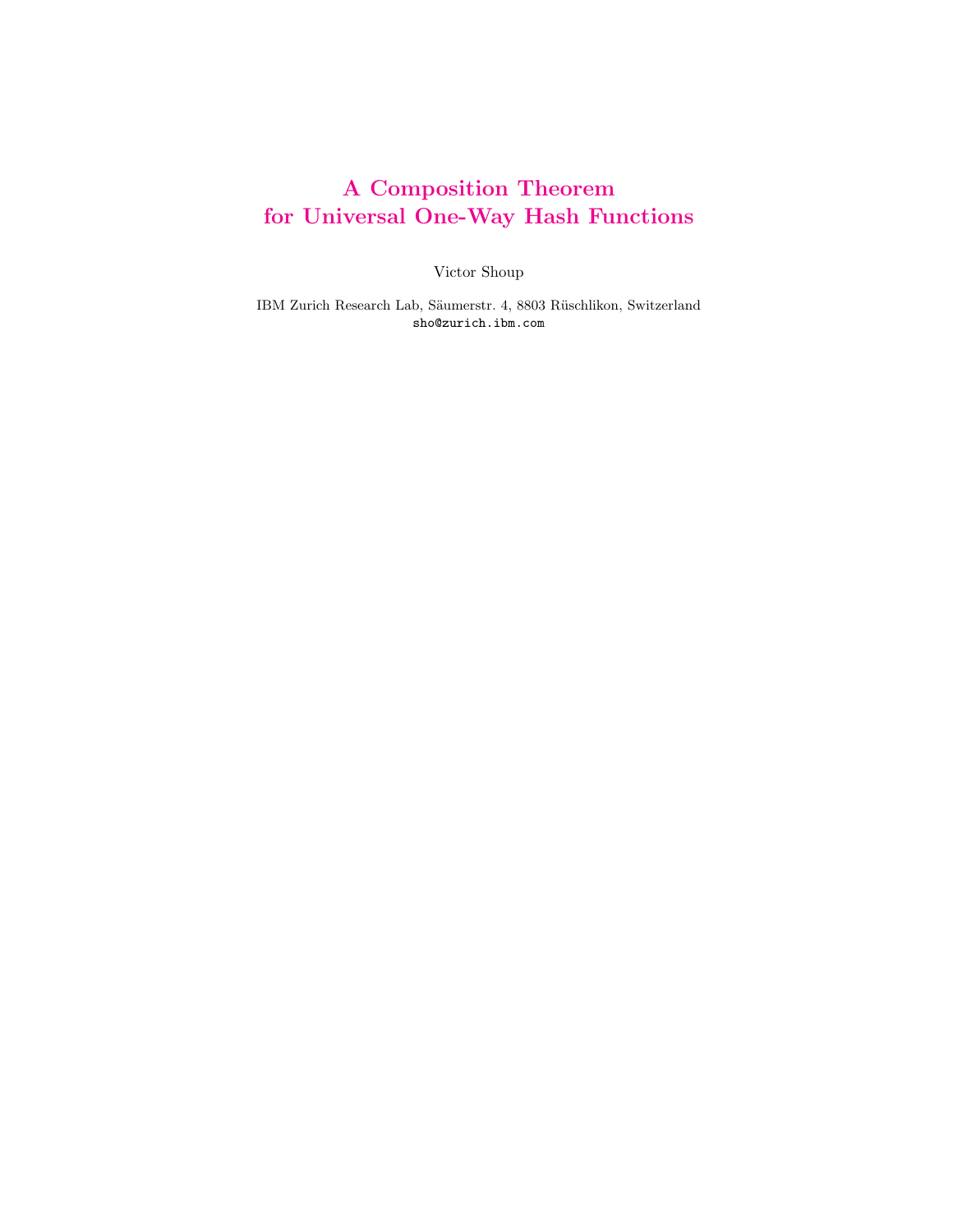# [A Composition Theorem](http://www.iacr.org/archive/eurocrypt2000/1807/18070451-new.pdf) [for Universal One-Way Hash Functions](http://www.iacr.org/archive/eurocrypt2000/1807/18070451-new.pdf)

Victor Shoup

IBM Zurich Research Lab, Säumerstr. 4, 8803 Rüschlikon, Switzerland sho@zurich.ibm.com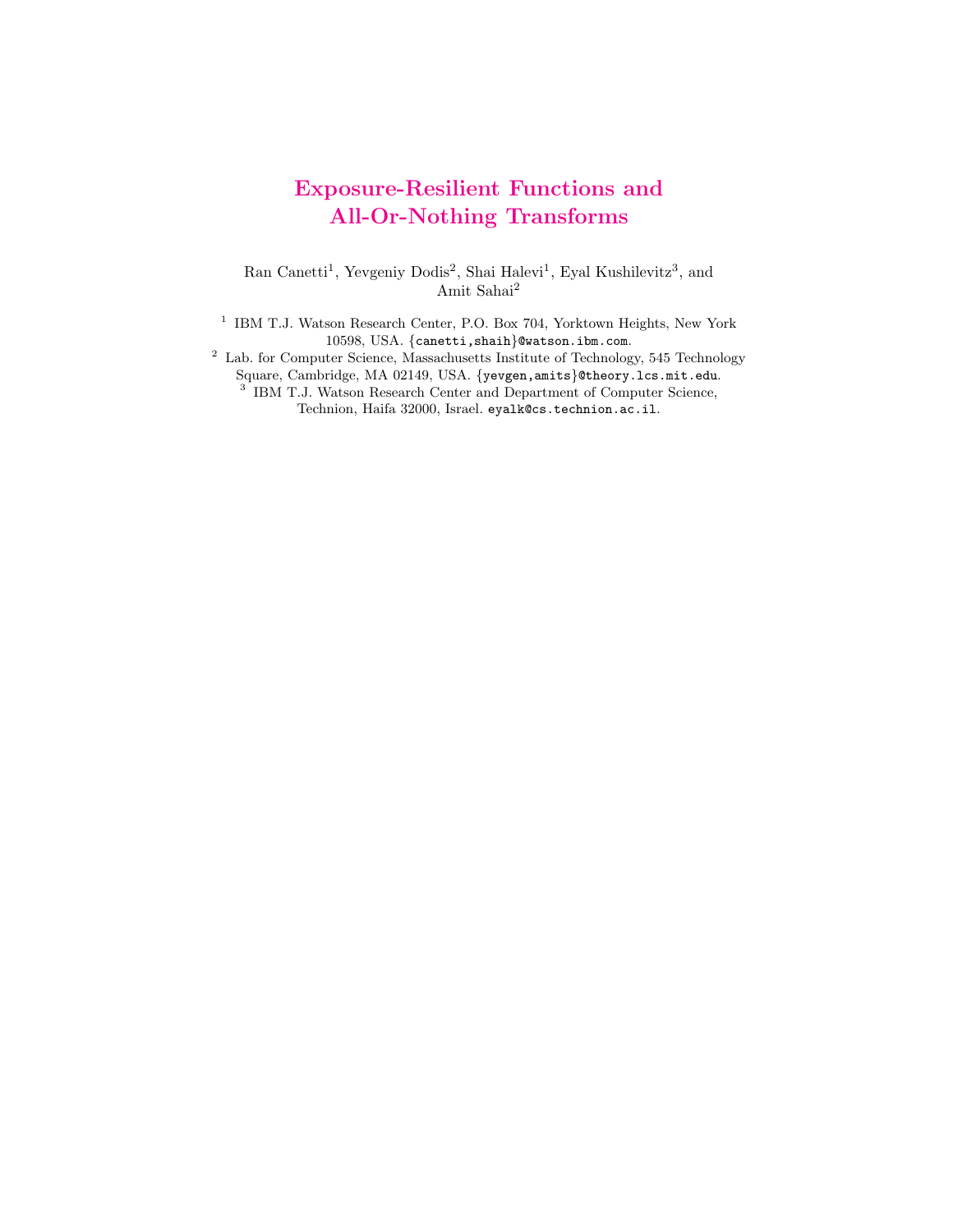#### [Exposure-Resilient Functions and](http://www.iacr.org/archive/eurocrypt2000/1807/18070459-new.pdf) [All-Or-Nothing Transforms](http://www.iacr.org/archive/eurocrypt2000/1807/18070459-new.pdf)

Ran Canetti<sup>1</sup>, Yevgeniy Dodis<sup>2</sup>, Shai Halevi<sup>1</sup>, Eyal Kushilevitz<sup>3</sup>, and Amit $\mathrm{Sahai}^2$ 

<sup>1</sup> IBM T.J. Watson Research Center, P.O. Box 704, Yorktown Heights, New York 10598, USA. {canetti,shaih}@watson.ibm.com.

 $^2\,$  Lab. for Computer Science, Massachusetts Institute of Technology, 545 Technology Square, Cambridge, MA 02149, USA. {yevgen,amits}@theory.lcs.mit.edu.

<sup>3</sup> IBM T.J. Watson Research Center and Department of Computer Science, Technion, Haifa 32000, Israel. eyalk@cs.technion.ac.il.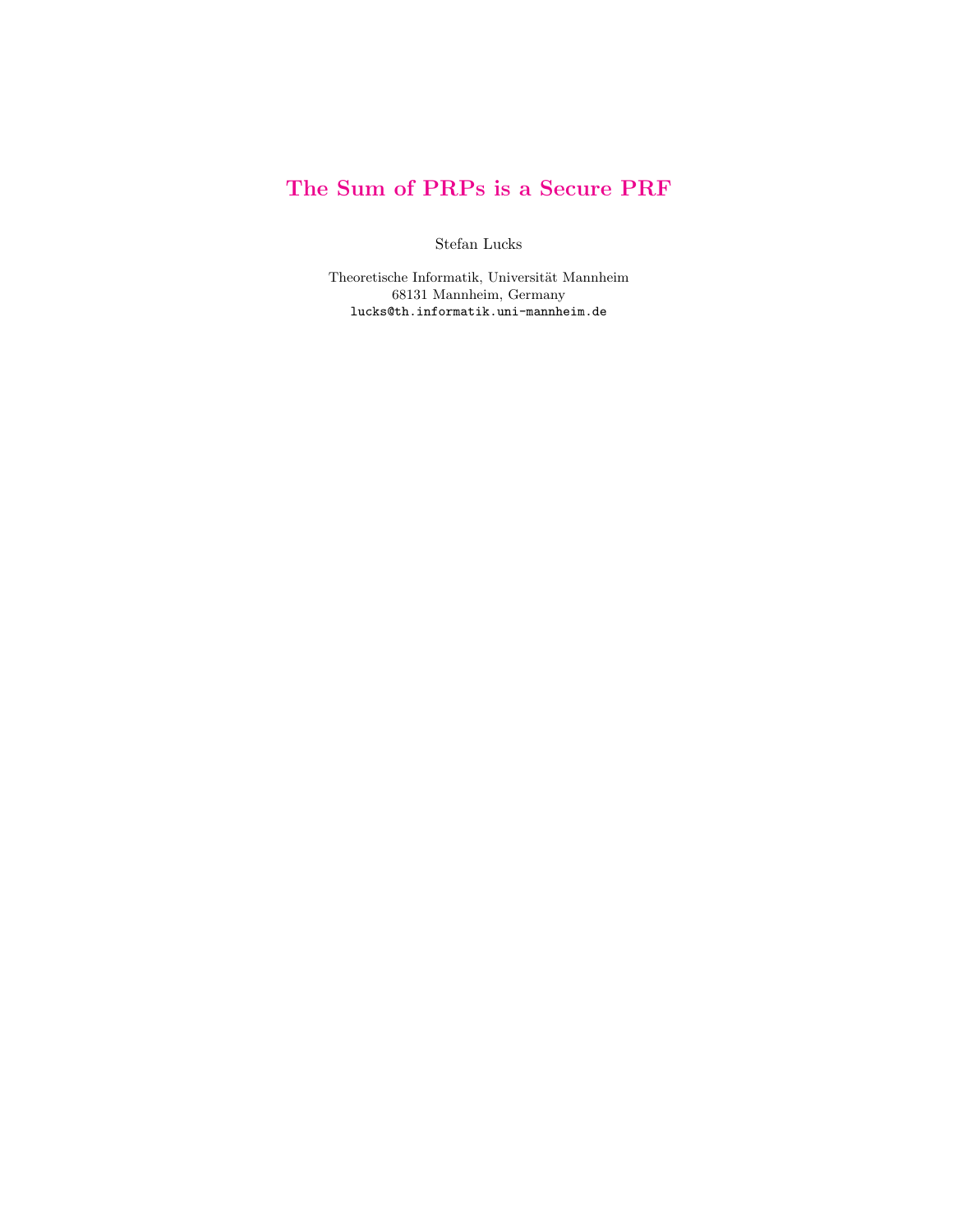# [The Sum of PRPs is a Secure PRF](http://www.iacr.org/archive/eurocrypt2000/1807/18070476-new.pdf)

Stefan Lucks

Theoretische Informatik, Universität Mannheim 68131 Mannheim, Germany lucks@th.informatik.uni-mannheim.de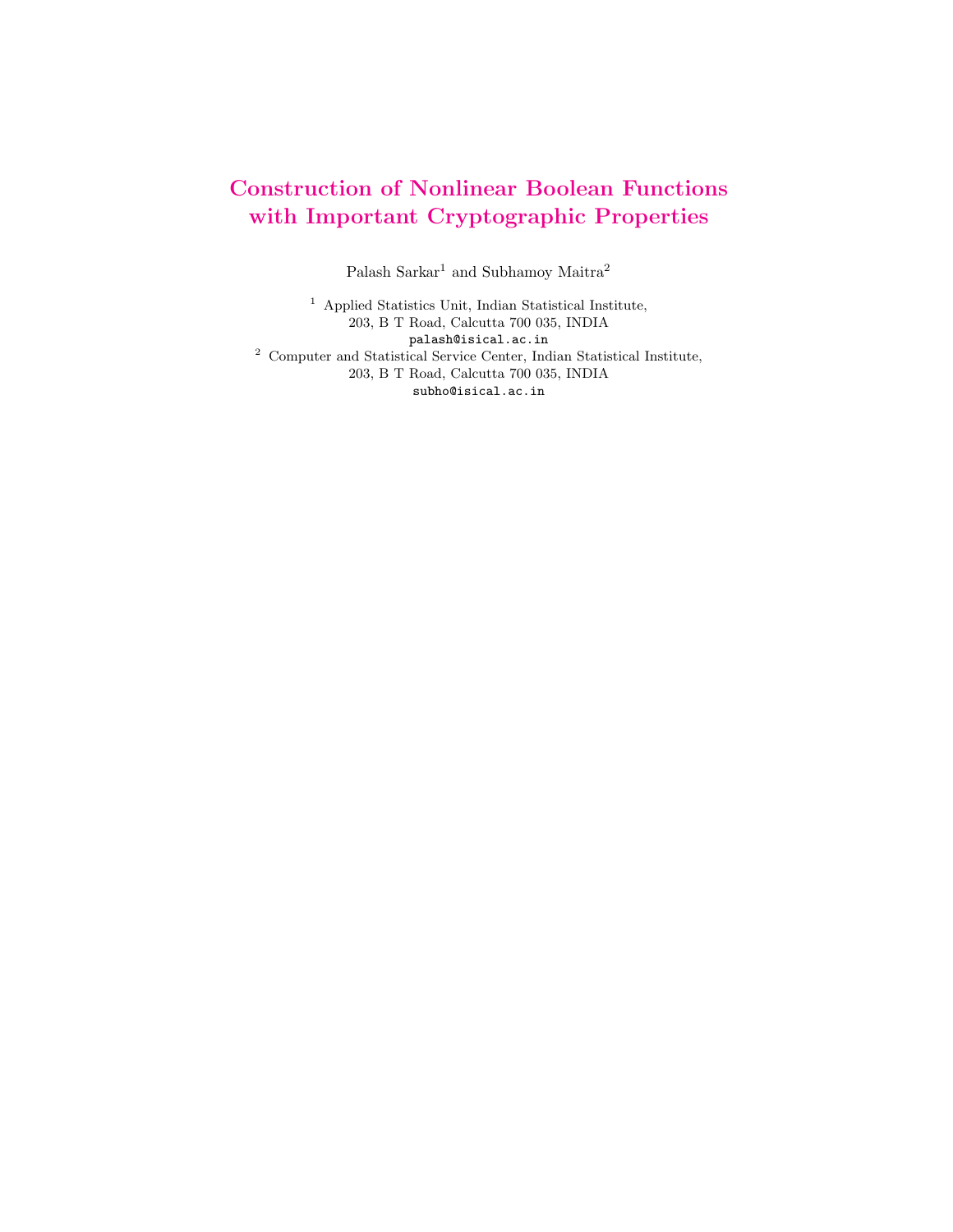#### [Construction of Nonlinear Boolean Functions](http://www.iacr.org/archive/eurocrypt2000/1807/18070491-new.pdf) [with Important Cryptographic Properties](http://www.iacr.org/archive/eurocrypt2000/1807/18070491-new.pdf)

Palash $\operatorname{Sarkar}^1$  and  $\operatorname{Subhamoy}$   $\operatorname{Maitra}^2$ 

<sup>1</sup> Applied Statistics Unit, Indian Statistical Institute, 203, B T Road, Calcutta 700 035, INDIA palash@isical.ac.in <sup>2</sup> Computer and Statistical Service Center, Indian Statistical Institute, 203, B T Road, Calcutta 700 035, INDIA subho@isical.ac.in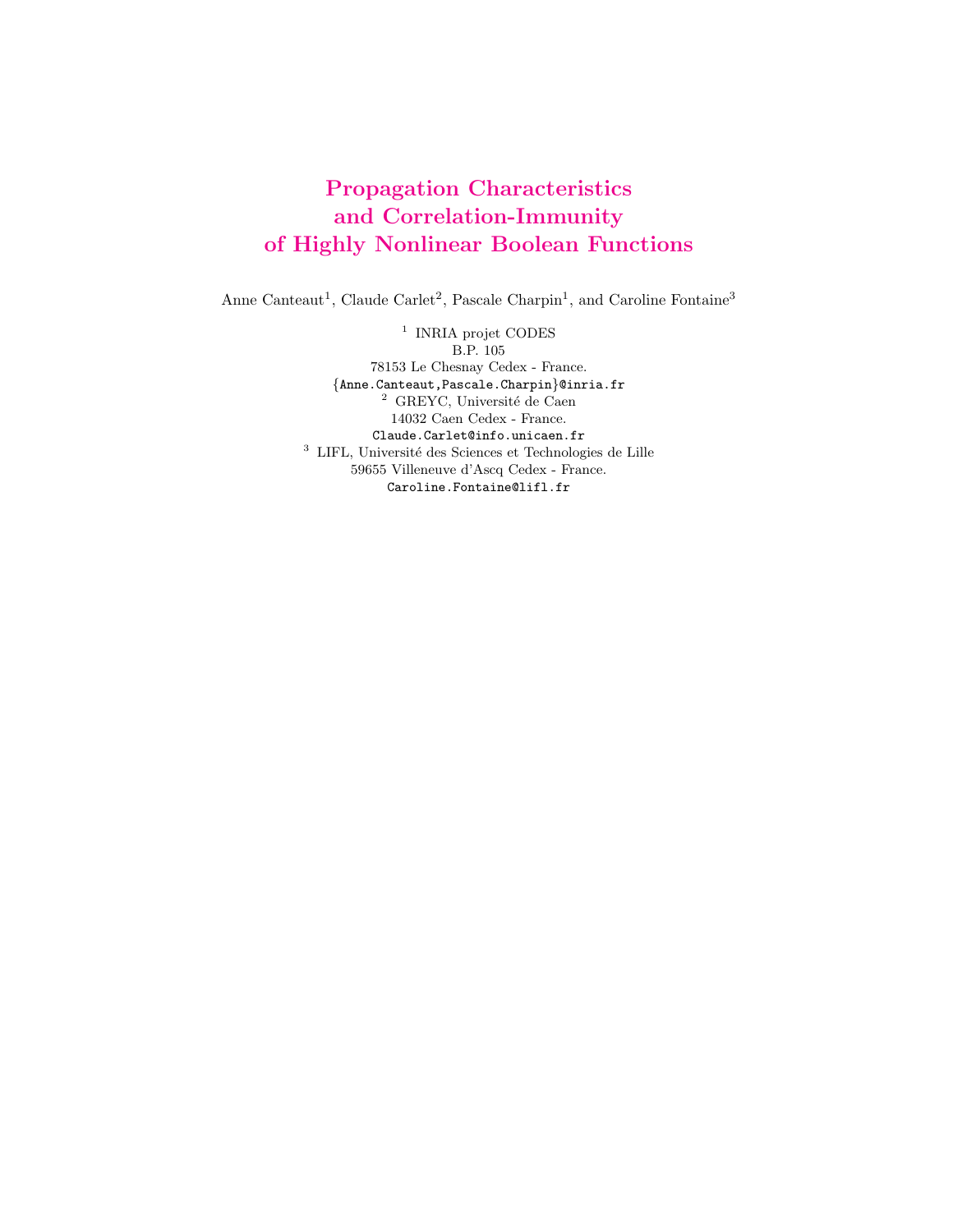# [Propagation Characteristics](http://www.iacr.org/archive/eurocrypt2000/1807/18070513-new.pdf) [and Correlation-Immunity](http://www.iacr.org/archive/eurocrypt2000/1807/18070513-new.pdf) [of Highly Nonlinear Boolean Functions](http://www.iacr.org/archive/eurocrypt2000/1807/18070513-new.pdf)

Anne Canteaut<sup>1</sup>, Claude Carlet<sup>2</sup>, Pascale Charpin<sup>1</sup>, and Caroline Fontaine<sup>3</sup>

1 INRIA projet CODES B.P. 105 78153 Le Chesnay Cedex - France. {Anne.Canteaut,Pascale.Charpin}@inria.fr <sup>2</sup> GREYC, Université de Caen 14032 Caen Cedex - France. Claude.Carlet@info.unicaen.fr  $^3$  LIFL, Université des Sciences et Technologies de Lille 59655 Villeneuve d'Ascq Cedex - France. Caroline.Fontaine@lifl.fr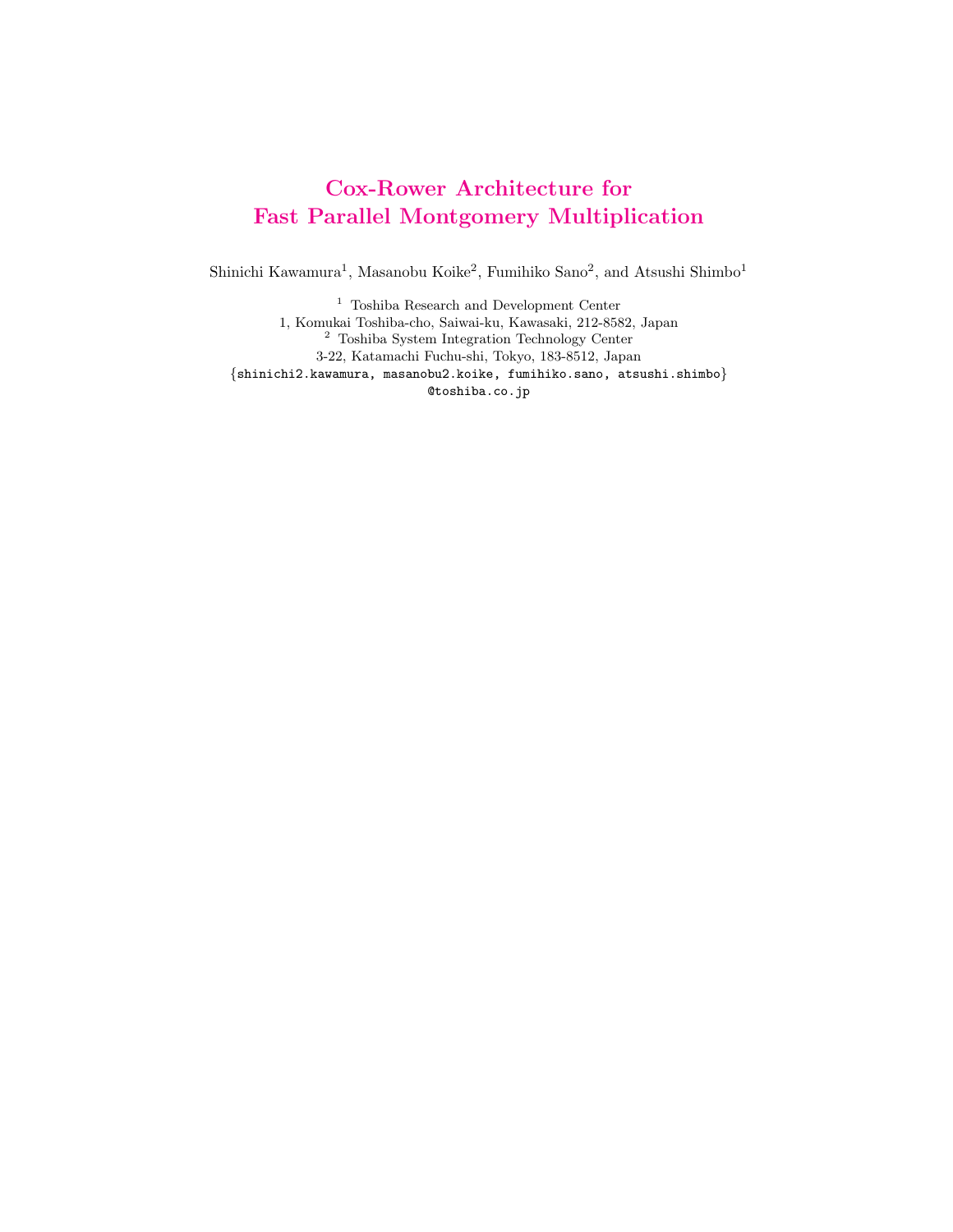## [Cox-Rower Architecture for](http://www.iacr.org/archive/eurocrypt2000/1807/18070529-new.pdf) [Fast Parallel Montgomery Multiplication](http://www.iacr.org/archive/eurocrypt2000/1807/18070529-new.pdf)

Shinichi Kawamura<sup>1</sup>, Masanobu Koike<sup>2</sup>, Fumihiko Sano<sup>2</sup>, and Atsushi Shimbo<sup>1</sup>

<sup>1</sup> Toshiba Research and Development Center 1, Komukai Toshiba-cho, Saiwai-ku, Kawasaki, 212-8582, Japan <sup>2</sup> Toshiba System Integration Technology Center 3-22, Katamachi Fuchu-shi, Tokyo, 183-8512, Japan {shinichi2.kawamura, masanobu2.koike, fumihiko.sano, atsushi.shimbo} @toshiba.co.jp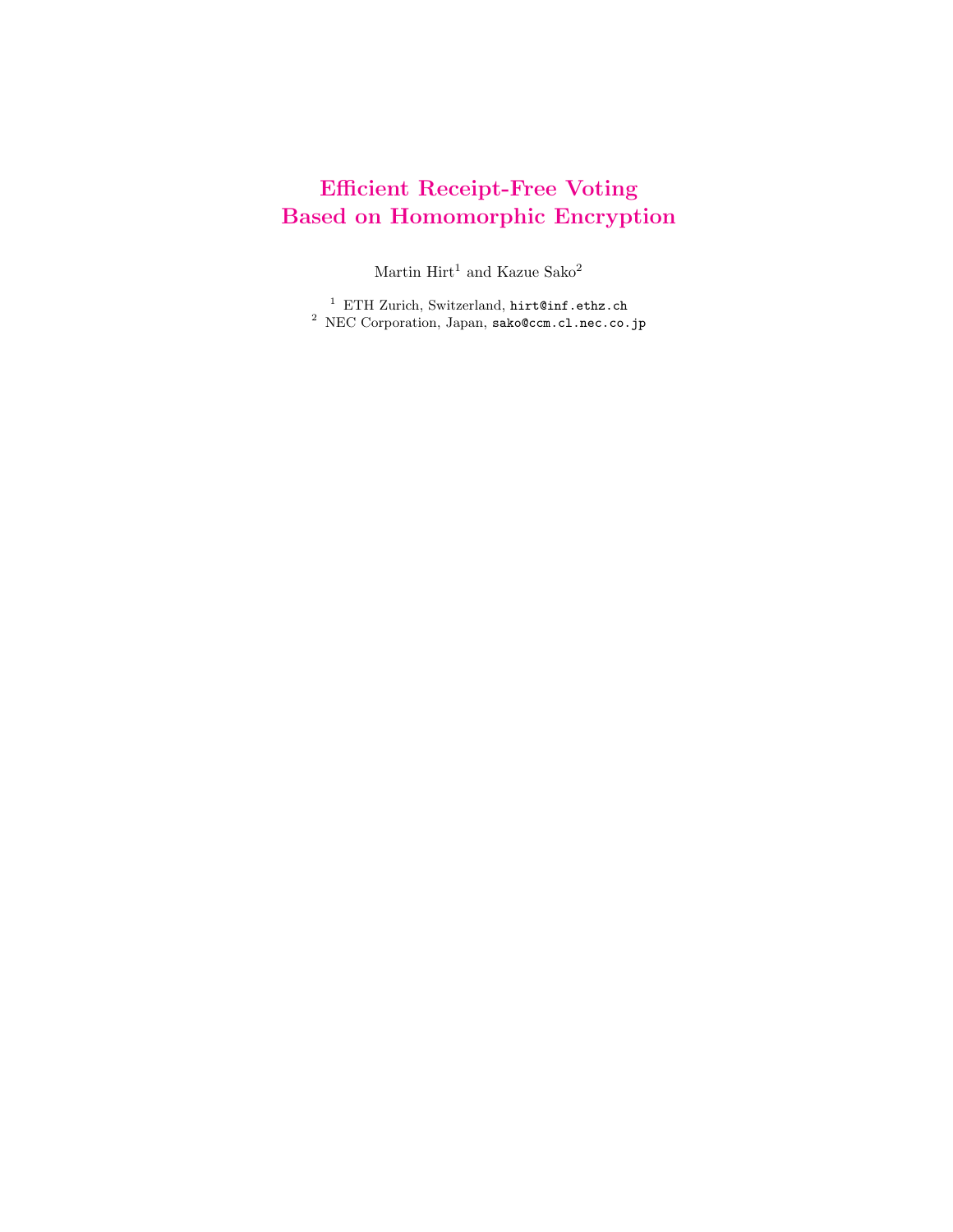# [Efficient Receipt-Free Voting](http://www.iacr.org/archive/eurocrypt2000/1807/18070545-new.pdf) [Based on Homomorphic Encryption](http://www.iacr.org/archive/eurocrypt2000/1807/18070545-new.pdf)

Martin $\rm Hirt^1$  and Kazue  $\rm Sako^2$ 

<sup>1</sup> ETH Zurich, Switzerland, hirt@inf.ethz.ch  $^2$  NEC Corporation, Japan, sako@ccm.cl.nec.co.jp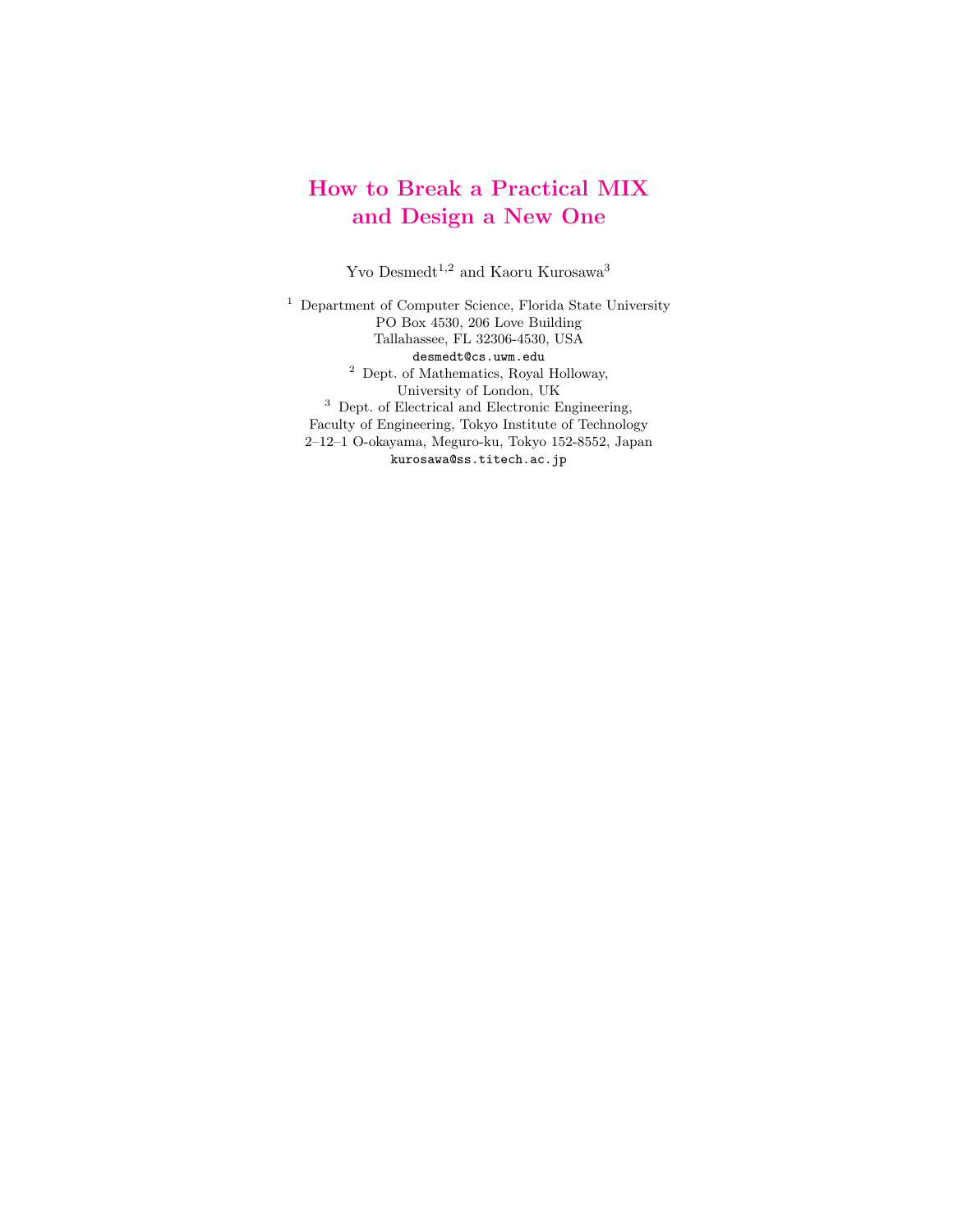#### [How to Break a Practical MIX](http://www.iacr.org/archive/eurocrypt2000/1807/18070563-new.pdf) [and Design a New One](http://www.iacr.org/archive/eurocrypt2000/1807/18070563-new.pdf)

Yvo Desmedt $^{1,2}$  and Kaoru Kurosawa $^3$ 

 $^{\rm 1}$  Department of Computer Science, Florida State University PO Box 4530, 206 Love Building Tallahassee, FL 32306-4530, USA desmedt@cs.uwm.edu <sup>2</sup> Dept. of Mathematics, Royal Holloway, University of London, UK <sup>3</sup> Dept. of Electrical and Electronic Engineering, Faculty of Engineering, Tokyo Institute of Technology 2–12–1 O-okayama, Meguro-ku, Tokyo 152-8552, Japan kurosawa@ss.titech.ac.jp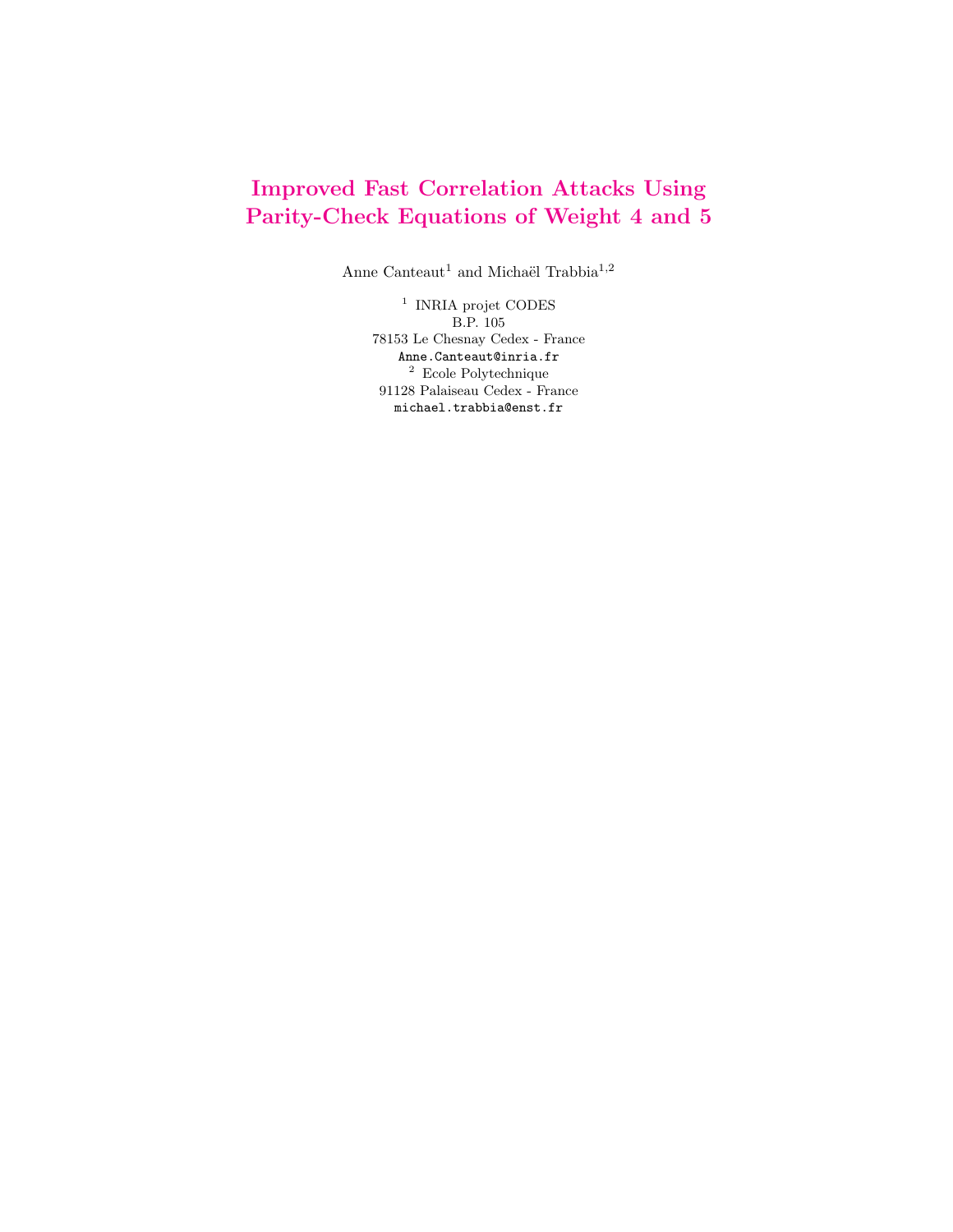## [Improved Fast Correlation Attacks Using](http://www.iacr.org/archive/eurocrypt2000/1807/18070579-new.pdf) [Parity-Check Equations of Weight 4 and 5](http://www.iacr.org/archive/eurocrypt2000/1807/18070579-new.pdf)

Anne $\mathrm{Canteaut}^1$  and Michaël $\mathrm{Trabbia}^{1,2}$ 

1 INRIA projet CODES B.P. 105 78153 Le Chesnay Cedex - France Anne.Canteaut@inria.fr  $^{\rm 2}$  Ecole Polytechnique 91128 Palaiseau Cedex - France michael.trabbia@enst.fr